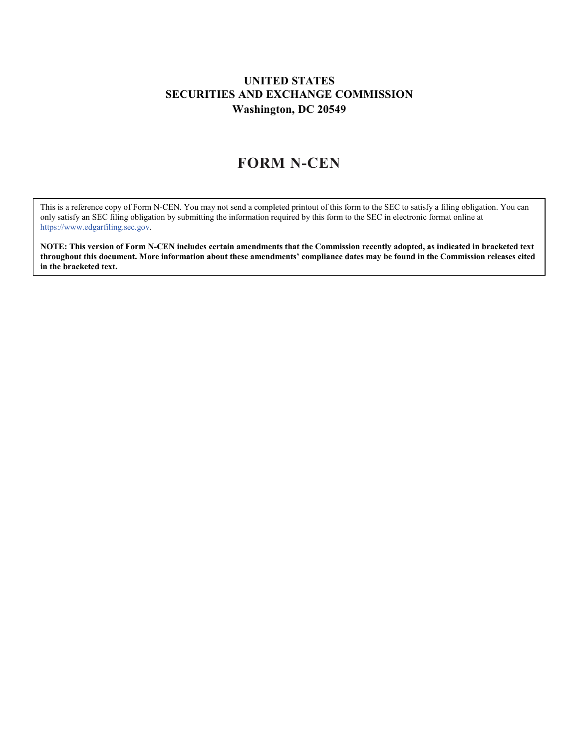# **UNITED STATES SECURITIES AND EXCHANGE COMMISSION Washington, DC 20549**

# **FORM N-CEN**

This is a reference copy of Form N-CEN. You may not send a completed printout of this form to the SEC to satisfy a filing obligation. You can only satisfy an SEC filing obligation by submitting the information required by this form to the SEC in electronic format online at https://www.edgarfiling.sec.gov.

 **throughout this document. More information about these amendments' compliance dates may be found in the Commission releases cited NOTE: This version of Form N-CEN includes certain amendments that the Commission recently adopted, as indicated in bracketed text in the bracketed text.**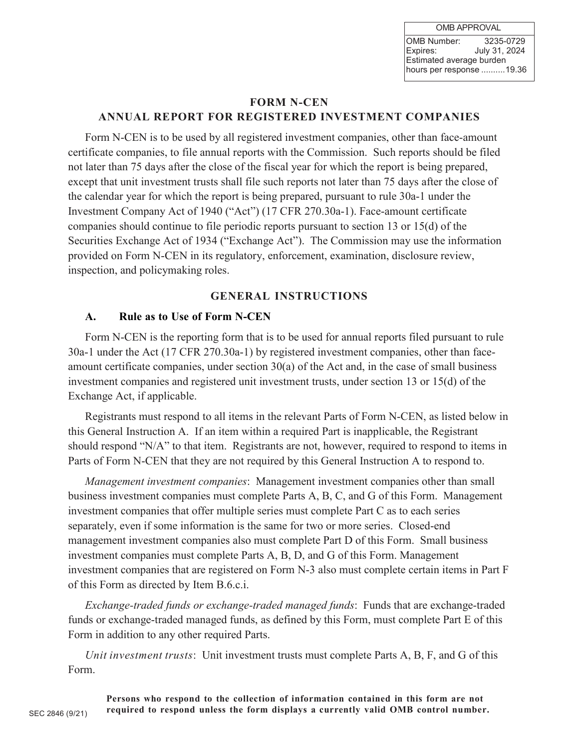OMB APPROVAL

Expires: hours per response ..........19.36 OMB Number: 3235-0729 July 31, 2024 Estimated average burden

# **FORM N-CEN ANNUAL REPORT FOR REGISTERED INVESTMENT COMPANIES**

 not later than 75 days after the close of the fiscal year for which the report is being prepared, except that unit investment trusts shall file such reports not later than 75 days after the close of Form N-CEN is to be used by all registered investment companies, other than face-amount certificate companies, to file annual reports with the Commission. Such reports should be filed the calendar year for which the report is being prepared, pursuant to rule 30a-1 under the Investment Company Act of 1940 ("Act") (17 CFR 270.30a-1). Face-amount certificate companies should continue to file periodic reports pursuant to section 13 or 15(d) of the Securities Exchange Act of 1934 ("Exchange Act"). The Commission may use the information provided on Form N-CEN in its regulatory, enforcement, examination, disclosure review, inspection, and policymaking roles.

# **GENERAL INSTRUCTIONS**

# **A. Rule as to Use of Form N-CEN**

 30a-1 under the Act (17 CFR 270.30a-1) by registered investment companies, other than face-Form N-CEN is the reporting form that is to be used for annual reports filed pursuant to rule amount certificate companies, under section 30(a) of the Act and, in the case of small business investment companies and registered unit investment trusts, under section 13 or 15(d) of the Exchange Act, if applicable.

 this General Instruction A. If an item within a required Part is inapplicable, the Registrant Parts of Form N-CEN that they are not required by this General Instruction A to respond to. Registrants must respond to all items in the relevant Parts of Form N-CEN, as listed below in should respond "N/A" to that item. Registrants are not, however, required to respond to items in

 of this Form as directed by Item B.6.c.i. *Management investment companies*: Management investment companies other than small business investment companies must complete Parts A, B, C, and G of this Form. Management investment companies that offer multiple series must complete Part C as to each series separately, even if some information is the same for two or more series. Closed-end management investment companies also must complete Part D of this Form. Small business investment companies must complete Parts A, B, D, and G of this Form. Management investment companies that are registered on Form N-3 also must complete certain items in Part F

*Exchange-traded funds or exchange-traded managed funds*: Funds that are exchange-traded funds or exchange-traded managed funds, as defined by this Form, must complete Part E of this Form in addition to any other required Parts.

*Unit investment trusts*: Unit investment trusts must complete Parts A, B, F, and G of this Form.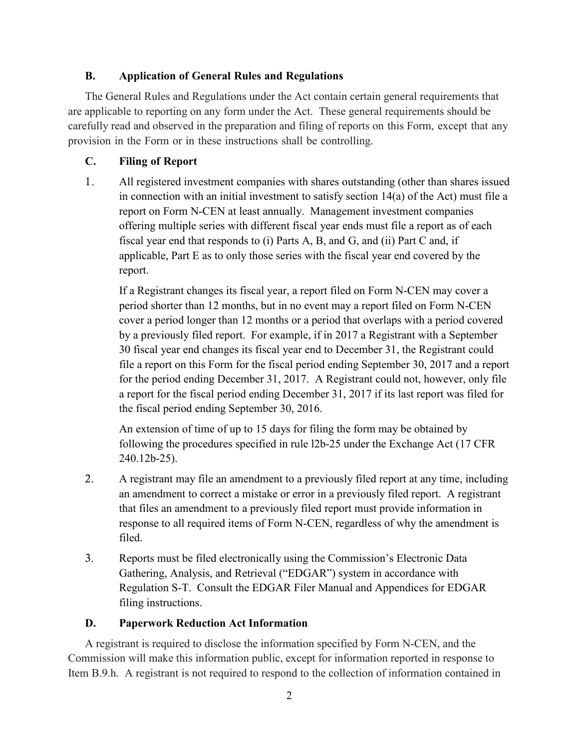# **B. Application of General Rules and Regulations**

 are applicable to reporting on any form under the Act. These general requirements should be carefully read and observed in the preparation and filing of reports on this Form, except that any provision in the Form or in these instructions shall be controlling. The General Rules and Regulations under the Act contain certain general requirements that

# **C. Filing of Report**

 in connection with an initial investment to satisfy section 14(a) of the Act) must file a offering multiple series with different fiscal year ends must file a report as of each 1. All registered investment companies with shares outstanding (other than shares issued report on Form N-CEN at least annually. Management investment companies fiscal year end that responds to (i) Parts A, B, and G, and (ii) Part C and, if applicable, Part E as to only those series with the fiscal year end covered by the report.

 period shorter than 12 months, but in no event may a report filed on Form N-CEN If a Registrant changes its fiscal year, a report filed on Form N-CEN may cover a cover a period longer than 12 months or a period that overlaps with a period covered by a previously filed report. For example, if in 2017 a Registrant with a September 30 fiscal year end changes its fiscal year end to December 31, the Registrant could file a report on this Form for the fiscal period ending September 30, 2017 and a report for the period ending December 31, 2017. A Registrant could not, however, only file a report for the fiscal period ending December 31, 2017 if its last report was filed for the fiscal period ending September 30, 2016.

An extension of time of up to 15 days for filing the form may be obtained by following the procedures specified in rule l2b-25 under the Exchange Act (17 CFR 240.12b-25).

- 2. A registrant may file an amendment to a previously filed report at any time, including an amendment to correct a mistake or error in a previously filed report. A registrant that files an amendment to a previously filed report must provide information in response to all required items of Form N-CEN, regardless of why the amendment is filed.
- 3. Reports must be filed electronically using the Commission's Electronic Data Gathering, Analysis, and Retrieval ("EDGAR") system in accordance with Regulation S-T. Consult the EDGAR Filer Manual and Appendices for EDGAR filing instructions.

### **D. Paperwork Reduction Act Information**

 Item B.9.h. A registrant is not required to respond to the collection of information contained in A registrant is required to disclose the information specified by Form N-CEN, and the Commission will make this information public, except for information reported in response to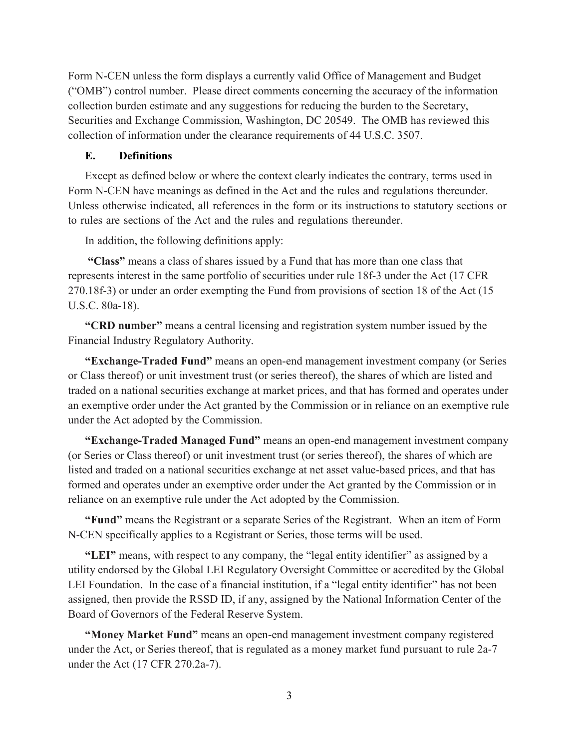("OMB") control number. Please direct comments concerning the accuracy of the information Form N-CEN unless the form displays a currently valid Office of Management and Budget collection burden estimate and any suggestions for reducing the burden to the Secretary, Securities and Exchange Commission, Washington, DC 20549. The OMB has reviewed this collection of information under the clearance requirements of 44 U.S.C. 3507.

#### **E. Definitions**

 Form N-CEN have meanings as defined in the Act and the rules and regulations thereunder. Unless otherwise indicated, all references in the form or its instructions to statutory sections or to rules are sections of the Act and the rules and regulations thereunder. Except as defined below or where the context clearly indicates the contrary, terms used in

In addition, the following definitions apply:

**"Class"** means a class of shares issued by a Fund that has more than one class that represents interest in the same portfolio of securities under rule 18f-3 under the Act (17 CFR 270.18f-3) or under an order exempting the Fund from provisions of section 18 of the Act (15 U.S.C. 80a-18).

 **"CRD number"** means a central licensing and registration system number issued by the Financial Industry Regulatory Authority.

**"Exchange-Traded Fund"** means an open-end management investment company (or Series or Class thereof) or unit investment trust (or series thereof), the shares of which are listed and traded on a national securities exchange at market prices, and that has formed and operates under an exemptive order under the Act granted by the Commission or in reliance on an exemptive rule under the Act adopted by the Commission.

 (or Series or Class thereof) or unit investment trust (or series thereof), the shares of which are **"Exchange-Traded Managed Fund"** means an open-end management investment company listed and traded on a national securities exchange at net asset value-based prices, and that has formed and operates under an exemptive order under the Act granted by the Commission or in reliance on an exemptive rule under the Act adopted by the Commission.

**"Fund"** means the Registrant or a separate Series of the Registrant. When an item of Form N-CEN specifically applies to a Registrant or Series, those terms will be used.

 **"LEI"** means, with respect to any company, the "legal entity identifier" as assigned by a assigned, then provide the RSSD ID, if any, assigned by the National Information Center of the utility endorsed by the Global LEI Regulatory Oversight Committee or accredited by the Global LEI Foundation. In the case of a financial institution, if a "legal entity identifier" has not been Board of Governors of the Federal Reserve System.

 **"Money Market Fund"** means an open-end management investment company registered under the Act, or Series thereof, that is regulated as a money market fund pursuant to rule 2a-7 under the Act (17 CFR 270.2a-7).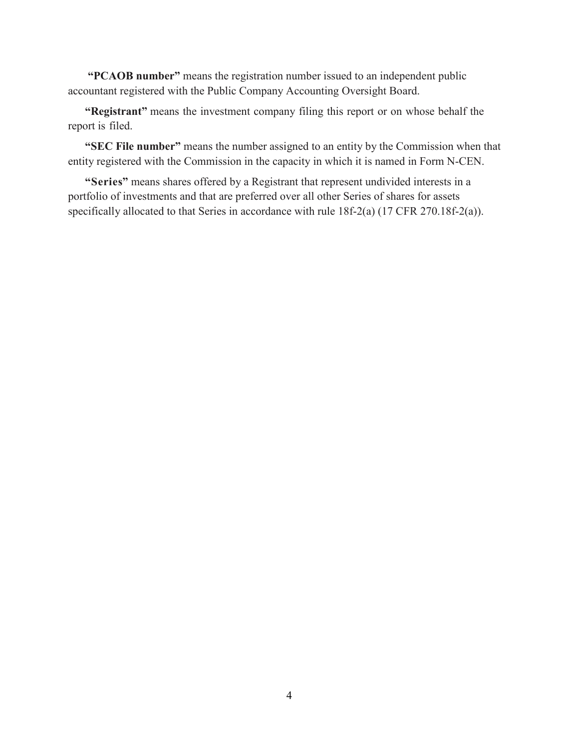**"PCAOB number"** means the registration number issued to an independent public accountant registered with the Public Company Accounting Oversight Board.

 **"Registrant"** means the investment company filing this report or on whose behalf the report is filed.

 **"SEC File number"** means the number assigned to an entity by the Commission when that entity registered with the Commission in the capacity in which it is named in Form N-CEN.

**"Series"** means shares offered by a Registrant that represent undivided interests in a portfolio of investments and that are preferred over all other Series of shares for assets specifically allocated to that Series in accordance with rule 18f-2(a) (17 CFR 270.18f-2(a)).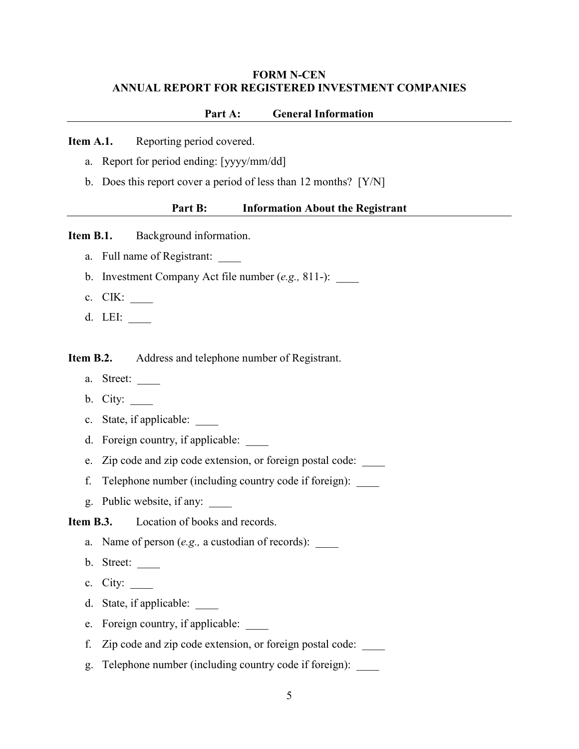### **FORM N-CEN ANNUAL REPORT FOR REGISTERED INVESTMENT COMPANIES**

#### **Part A: General Information**

**Item A.1.** Reporting period covered.

- a. Report for period ending: [yyyy/mm/dd]
- b. Does this report cover a period of less than 12 months? [Y/N]

#### **Part B: Information About the Registrant**

**Item B.1.** Background information.

- a. Full name of Registrant: \_\_\_\_\_
- b. Investment Company Act file number (*e.g.,* 811-): \_\_\_\_
- c. CIK: \_\_\_\_
- d. LEI: \_\_\_\_

**Item B.2.** Address and telephone number of Registrant.

- a. Street: \_\_\_\_\_
- b. City: \_\_\_\_
- c. State, if applicable: \_\_\_\_\_
- d. Foreign country, if applicable:
- e. Zip code and zip code extension, or foreign postal code:
- f. Telephone number (including country code if foreign): \_\_\_\_
- g. Public website, if any: \_\_\_\_

**Item B.3.** Location of books and records.

a. Name of person (*e.g.*, a custodian of records):

- b. Street: \_\_\_\_
- c. City:  $\qquad \qquad$
- d. State, if applicable:
- e. Foreign country, if applicable:
- f. Zip code and zip code extension, or foreign postal code: \_\_\_\_
- g. Telephone number (including country code if foreign):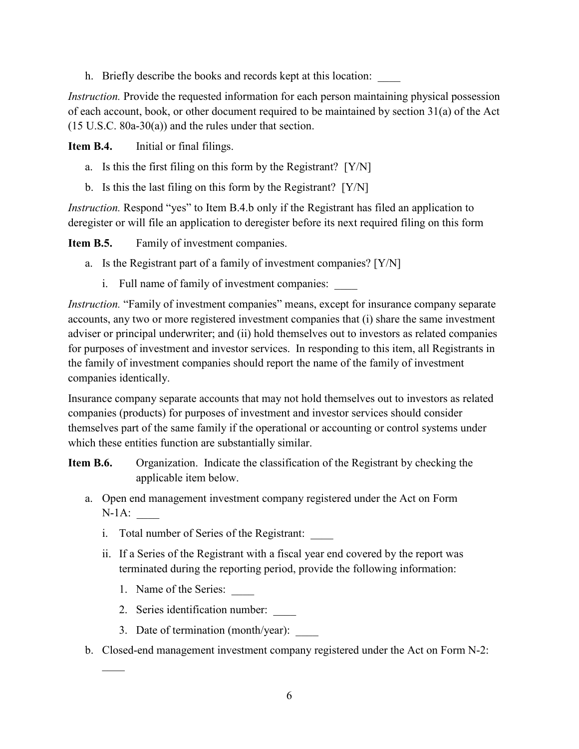h. Briefly describe the books and records kept at this location:

 of each account, book, or other document required to be maintained by section 31(a) of the Act *Instruction.* Provide the requested information for each person maintaining physical possession (15 U.S.C. 80a-30(a)) and the rules under that section.

**Item B.4.** Initial or final filings.

- a. Is this the first filing on this form by the Registrant? [Y/N]
- b. Is this the last filing on this form by the Registrant? [Y/N]

 *Instruction.* Respond "yes" to Item B.4.b only if the Registrant has filed an application to deregister or will file an application to deregister before its next required filing on this form

**Item B.5.** Family of investment companies.

- a. Is the Registrant part of a family of investment companies? [Y/N]
	- i. Full name of family of investment companies:

companies identically. *Instruction.* "Family of investment companies" means, except for insurance company separate accounts, any two or more registered investment companies that (i) share the same investment adviser or principal underwriter; and (ii) hold themselves out to investors as related companies for purposes of investment and investor services. In responding to this item, all Registrants in the family of investment companies should report the name of the family of investment

Insurance company separate accounts that may not hold themselves out to investors as related companies (products) for purposes of investment and investor services should consider themselves part of the same family if the operational or accounting or control systems under which these entities function are substantially similar.

- **Item B.6.** Organization. Indicate the classification of the Registrant by checking the applicable item below.
	- $N-1A:$ a. Open end management investment company registered under the Act on Form
		- i. Total number of Series of the Registrant:
		- ii. If a Series of the Registrant with a fiscal year end covered by the report was terminated during the reporting period, provide the following information:
			- 1. Name of the Series:

 $\frac{1}{2}$ 

- 2. Series identification number:
- 3. Date of termination (month/year):
- b. Closed-end management investment company registered under the Act on Form N-2:<br>
<u>6</u>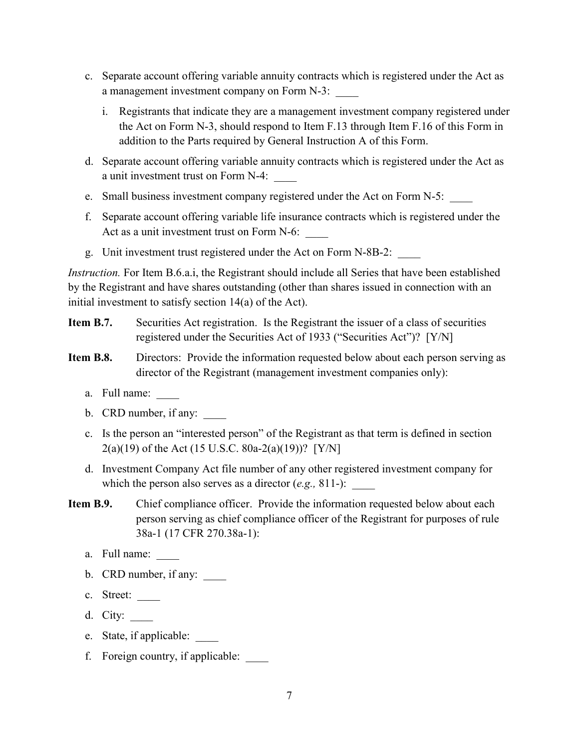- c. Separate account offering variable annuity contracts which is registered under the Act as a management investment company on Form N-3:
	- addition to the Parts required by General Instruction A of this Form. i. Registrants that indicate they are a management investment company registered under the Act on Form N-3, should respond to Item F.13 through Item F.16 of this Form in
- d. Separate account offering variable annuity contracts which is registered under the Act as a unit investment trust on Form N-4:
- e. Small business investment company registered under the Act on Form N-5: \_\_\_\_\_
- f. Separate account offering variable life insurance contracts which is registered under the Act as a unit investment trust on Form N-6:
- g. Unit investment trust registered under the Act on Form N-8B-2:

*Instruction.* For Item B.6.a.i, the Registrant should include all Series that have been established by the Registrant and have shares outstanding (other than shares issued in connection with an initial investment to satisfy section 14(a) of the Act).

- **Item B.7.** Securities Act registration. Is the Registrant the issuer of a class of securities registered under the Securities Act of 1933 ("Securities Act")? [Y/N]
- **Item B.8.** Directors: Provide the information requested below about each person serving as director of the Registrant (management investment companies only):
	- a. Full name:
	- b. CRD number, if any:
	- c. Is the person an "interested person" of the Registrant as that term is defined in section  $2(a)(19)$  of the Act (15 U.S.C. 80a-2(a)(19))? [Y/N]
	- d. Investment Company Act file number of any other registered investment company for which the person also serves as a director  $(e.g., 811-)$ :
- person serving as chief compliance officer of the Registrant for purposes of rule **Item B.9.** Chief compliance officer. Provide the information requested below about each 38a-1 (17 CFR 270.38a-1):
	- a. Full name:
	- b. CRD number, if any:
	- c. Street:
	- d. City:
	- e. State, if applicable: \_\_\_\_
	- f. Foreign country, if applicable: \_\_\_\_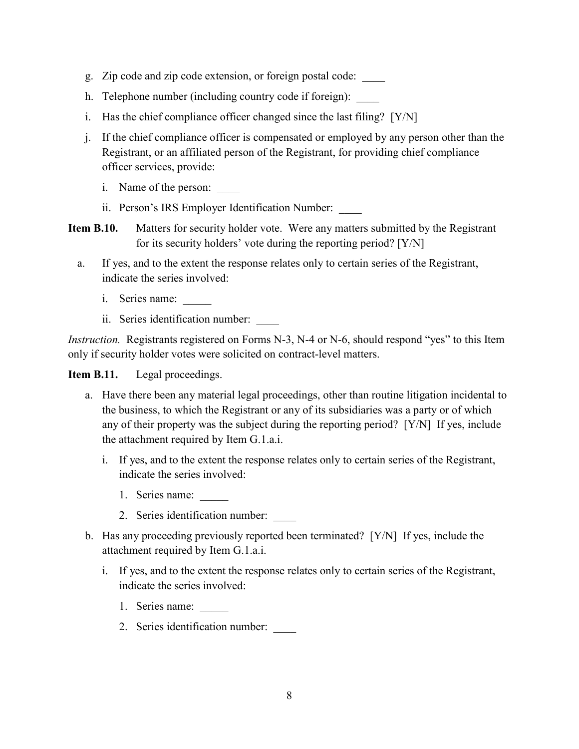- g. Zip code and zip code extension, or foreign postal code: \_\_\_\_
- h. Telephone number (including country code if foreign):
- i. Has the chief compliance officer changed since the last filing? [Y/N]
- Registrant, or an affiliated person of the Registrant, for providing chief compliance j. If the chief compliance officer is compensated or employed by any person other than the officer services, provide:
	- i. Name of the person:
	- ii. Person's IRS Employer Identification Number:
- for its security holders' vote during the reporting period? [Y/N] **Item B.10.** Matters for security holder vote. Were any matters submitted by the Registrant
	- indicate the series involved: a. If yes, and to the extent the response relates only to certain series of the Registrant,
		- i. Series name:
		- ii. Series identification number:

 *Instruction.* Registrants registered on Forms N-3, N-4 or N-6, should respond "yes" to this Item only if security holder votes were solicited on contract-level matters.

### **Item B.11.** Legal proceedings.

- any of their property was the subject during the reporting period? [Y/N] If yes, include a. Have there been any material legal proceedings, other than routine litigation incidental to the business, to which the Registrant or any of its subsidiaries was a party or of which the attachment required by Item G.1.a.i.
	- i. If yes, and to the extent the response relates only to certain series of the Registrant, indicate the series involved:
		- 1. Series name:
		- 2. Series identification number:
- b. Has any proceeding previously reported been terminated? [Y/N] If yes, include the attachment required by Item G.1.a.i.
	- i. If yes, and to the extent the response relates only to certain series of the Registrant, indicate the series involved:
		- 1. Series name:
		- 2. Series identification number: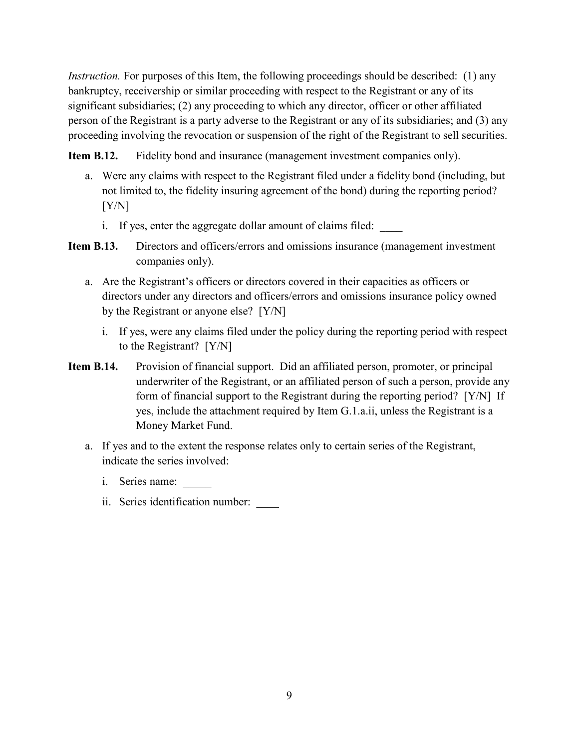*Instruction.* For purposes of this Item, the following proceedings should be described: (1) any bankruptcy, receivership or similar proceeding with respect to the Registrant or any of its proceeding involving the revocation or suspension of the right of the Registrant to sell securities. significant subsidiaries; (2) any proceeding to which any director, officer or other affiliated person of the Registrant is a party adverse to the Registrant or any of its subsidiaries; and (3) any

**Item B.12.** Fidelity bond and insurance (management investment companies only).

- not limited to, the fidelity insuring agreement of the bond) during the reporting period?<br>[Y/N] a. Were any claims with respect to the Registrant filed under a fidelity bond (including, but
	- i. If yes, enter the aggregate dollar amount of claims filed:
- companies only). **Item B.13.** Directors and officers/errors and omissions insurance (management investment
	- by the Registrant or anyone else? [Y/N] a. Are the Registrant's officers or directors covered in their capacities as officers or directors under any directors and officers/errors and omissions insurance policy owned
		- by the Registrant or anyone else? [Y/N]<br>i. If yes, were any claims filed under the policy during the reporting period with respect to the Registrant? [Y/N]
- form of financial support to the Registrant during the reporting period? [Y/N] If Money Market Fund. **Item B.14.** Provision of financial support. Did an affiliated person, promoter, or principal underwriter of the Registrant, or an affiliated person of such a person, provide any yes, include the attachment required by Item G.1.a.ii, unless the Registrant is a
	- a. If yes and to the extent the response relates only to certain series of the Registrant, indicate the series involved:
		- i. Series name: \_\_\_\_\_
		- ii. Series identification number: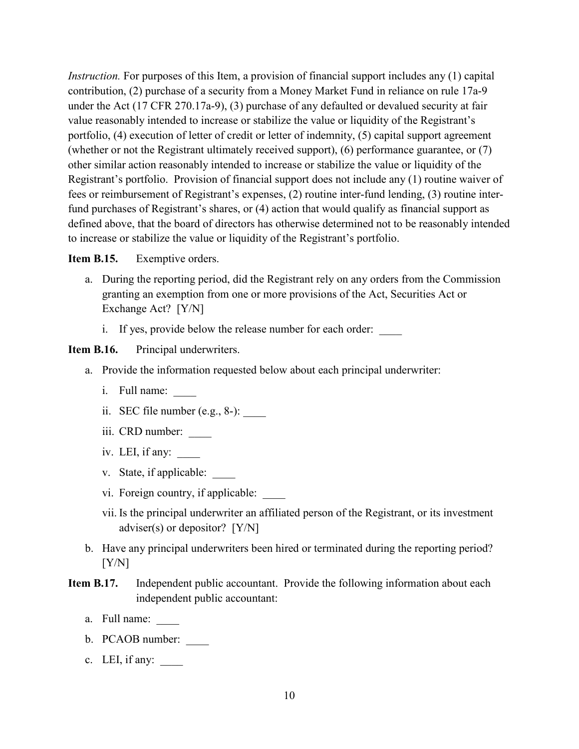*Instruction.* For purposes of this Item, a provision of financial support includes any (1) capital portfolio, (4) execution of letter of credit or letter of indemnity, (5) capital support agreement to increase or stabilize the value or liquidity of the Registrant's portfolio. contribution, (2) purchase of a security from a Money Market Fund in reliance on rule 17a-9 under the Act (17 CFR 270.17a-9), (3) purchase of any defaulted or devalued security at fair value reasonably intended to increase or stabilize the value or liquidity of the Registrant's (whether or not the Registrant ultimately received support), (6) performance guarantee, or (7) other similar action reasonably intended to increase or stabilize the value or liquidity of the Registrant's portfolio. Provision of financial support does not include any (1) routine waiver of fees or reimbursement of Registrant's expenses, (2) routine inter-fund lending, (3) routine interfund purchases of Registrant's shares, or (4) action that would qualify as financial support as defined above, that the board of directors has otherwise determined not to be reasonably intended

#### **Item B.15.** Exemptive orders.

- a. During the reporting period, did the Registrant rely on any orders from the Commission Exchange Act? [Y/N] granting an exemption from one or more provisions of the Act, Securities Act or
	- i. If yes, provide below the release number for each order:

#### **Item B.16.** Principal underwriters.

- a. Provide the information requested below about each principal underwriter:
	- i. Full name:
	- ii. SEC file number  $(e.g., 8-)$ :
	- iii. CRD number:
	- iv. LEI, if any:
	- v. State, if applicable:
	- vi. Foreign country, if applicable:
	- adviser(s) or depositor? [Y/N] vii. Is the principal underwriter an affiliated person of the Registrant, or its investment
- b. Have any principal underwriters been hired or terminated during the reporting period? [Y/N]
- **Item B.17.** Independent public accountant. Provide the following information about each independent public accountant:
	- a. Full name:
	- b. PCAOB number:
	- c. LEI, if any: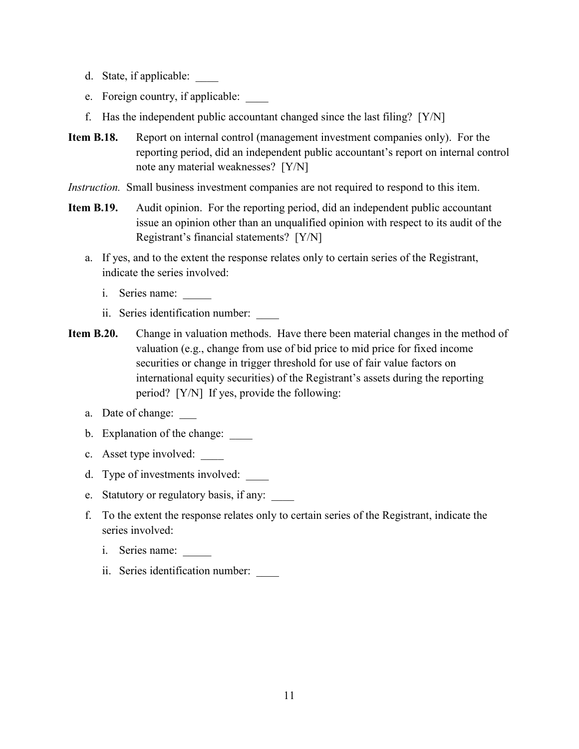- d. State, if applicable:
- e. Foreign country, if applicable:
- f. Has the independent public accountant changed since the last filing? [Y/N]
- **Item B.18.** Report on internal control (management investment companies only). For the note any material weaknesses? [Y/N] reporting period, did an independent public accountant's report on internal control
- *Instruction.* Small business investment companies are not required to respond to this item.
- Registrant's financial statements? [Y/N] **Item B.19.** Audit opinion. For the reporting period, did an independent public accountant issue an opinion other than an unqualified opinion with respect to its audit of the
	- a. If yes, and to the extent the response relates only to certain series of the Registrant, indicate the series involved:
		- i. Series name:
		- ii. Series identification number:

 securities or change in trigger threshold for use of fair value factors on period? [Y/N] If yes, provide the following: **Item B.20.** Change in valuation methods. Have there been material changes in the method of valuation (e.g., change from use of bid price to mid price for fixed income international equity securities) of the Registrant's assets during the reporting

- a. Date of change:
- b. Explanation of the change:
- c. Asset type involved:
- d. Type of investments involved:
- e. Statutory or regulatory basis, if any:
- f. To the extent the response relates only to certain series of the Registrant, indicate the series involved:
	- i. Series name:
	- ii. Series identification number: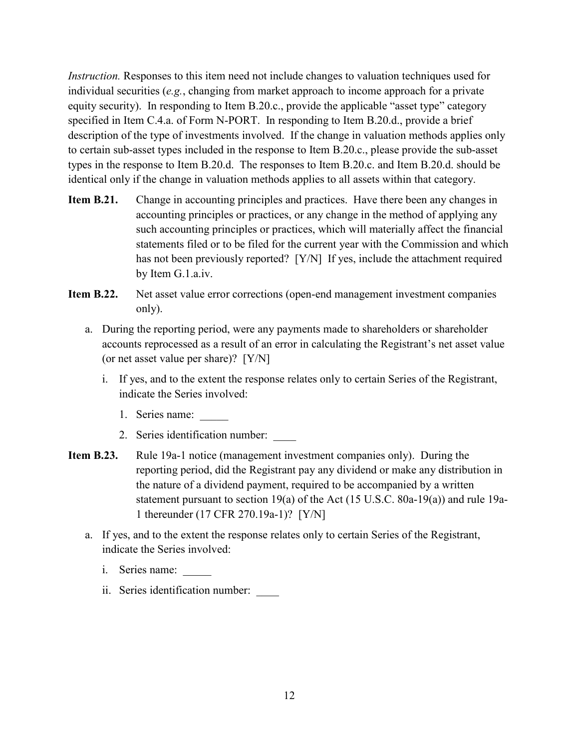specified in Item C.4.a. of Form N-PORT. In responding to Item B.20.d., provide a brief types in the response to Item B.20.d. The responses to Item B.20.c. and Item B.20.d. should be *Instruction.* Responses to this item need not include changes to valuation techniques used for individual securities (*e.g.*, changing from market approach to income approach for a private equity security). In responding to Item B.20.c., provide the applicable "asset type" category description of the type of investments involved. If the change in valuation methods applies only to certain sub-asset types included in the response to Item B.20.c., please provide the sub-asset identical only if the change in valuation methods applies to all assets within that category.

- has not been previously reported? [Y/N] If yes, include the attachment required **Item B.21.** Change in accounting principles and practices. Have there been any changes in accounting principles or practices, or any change in the method of applying any such accounting principles or practices, which will materially affect the financial statements filed or to be filed for the current year with the Commission and which by Item G.1.a.iv.
- **Item B.22.** Net asset value error corrections (open-end management investment companies only).
	- a. During the reporting period, were any payments made to shareholders or shareholder accounts reprocessed as a result of an error in calculating the Registrant's net asset value (or net asset value per share)? [Y/N]
		- i. If yes, and to the extent the response relates only to certain Series of the Registrant, indicate the Series involved:
			- 1. Series name:
			- 2. Series identification number:
- **Item B.23.** Rule 19a-1 notice (management investment companies only). During the reporting period, did the Registrant pay any dividend or make any distribution in the nature of a dividend payment, required to be accompanied by a written statement pursuant to section 19(a) of the Act (15 U.S.C. 80a-19(a)) and rule 19a-1 thereunder (17 CFR 270.19a-1)? [Y/N]
	- a. If yes, and to the extent the response relates only to certain Series of the Registrant, indicate the Series involved:
		- i. Series name:
		- ii. Series identification number: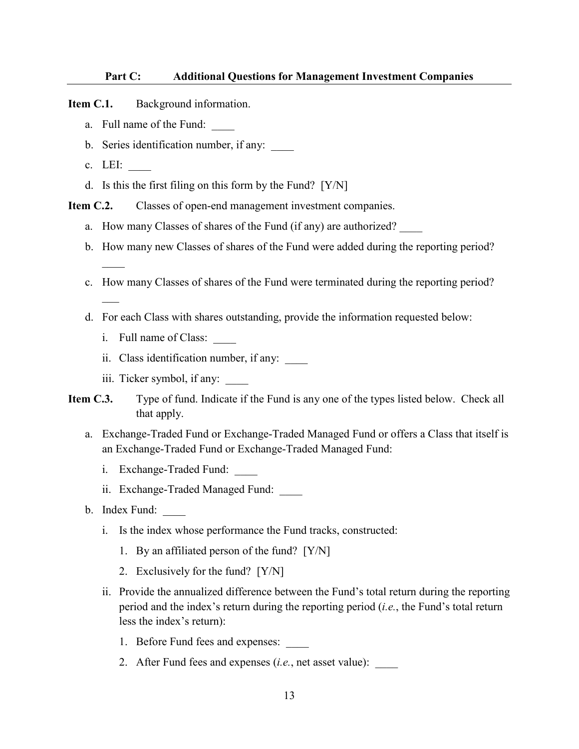**Item C.1.** Background information.

- a. Full name of the Fund:
- b. Series identification number, if any:
- c. LEI: \_\_\_\_

 $\frac{1}{2}$ 

d. Is this the first filing on this form by the Fund? [Y/N]

**Item C.2.** Classes of open-end management investment companies.

- a. How many Classes of shares of the Fund (if any) are authorized?
- b. How many new Classes of shares of the Fund were added during the reporting period? c. How many Classes of shares of the Fund were terminated during the reporting period? d. For each Class with shares outstanding, provide the information requested below:
- c. How many Classes of shares of the Fund were terminated during the reporting period?
- - i. Full name of Class:
	- ii. Class identification number, if any:
	- iii. Ticker symbol, if any:
- **Item C.3.** Type of fund. Indicate if the Fund is any one of the types listed below. Check all that apply.
	- a. Exchange-Traded Fund or Exchange-Traded Managed Fund or offers a Class that itself is an Exchange-Traded Fund or Exchange-Traded Managed Fund:
		- i. Exchange-Traded Fund: \_\_\_\_\_
		- ii. Exchange-Traded Managed Fund:
	- b. Index Fund:
		- i. Is the index whose performance the Fund tracks, constructed:
			- 1. By an affiliated person of the fund? [Y/N]
			- 2. Exclusively for the fund? [Y/N]
		- ii. Provide the annualized difference between the Fund's total return during the reporting period and the index's return during the reporting period (*i.e.*, the Fund's total return less the index's return):<br>1. Before Fund fees and expenses:
			-
			- 2. After Fund fees and expenses (*i.e.*, net asset value):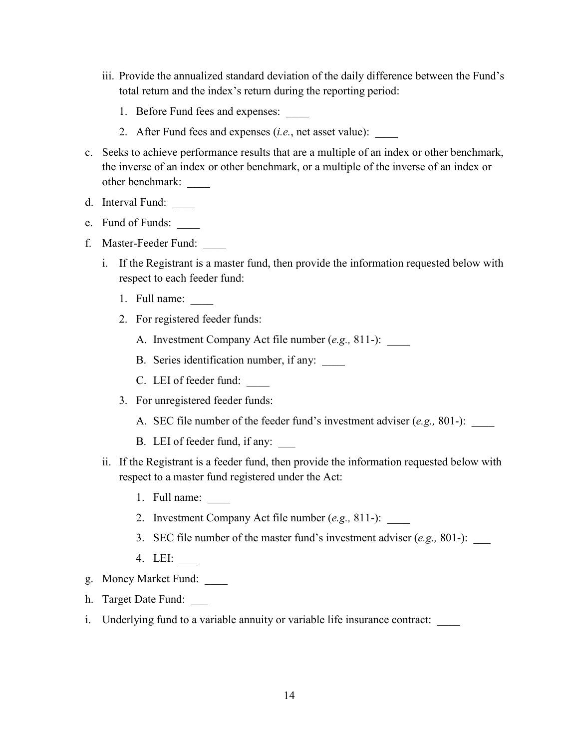- total return and the index's return during the reporting period:<br>1. Before Fund fees and expenses: \_\_\_\_\_\_ iii. Provide the annualized standard deviation of the daily difference between the Fund's
	-
	- 2. After Fund fees and expenses *(i.e.*, net asset value):
- the inverse of an index or other benchmark, or a multiple of the inverse of an index or c. Seeks to achieve performance results that are a multiple of an index or other benchmark, other benchmark: \_\_\_\_
- d. Interval Fund: \_\_\_\_\_
- e. Fund of Funds:
- f. Master-Feeder Fund: \_\_\_\_
	- i. If the Registrant is a master fund, then provide the information requested below with respect to each feeder fund:
		- 1. Full name:
		- 2. For registered feeder funds:
			- A. Investment Company Act file number (*e.g.,* 811-): \_\_\_\_
			- B. Series identification number, if any:
			- C. LEI of feeder fund:
		- 3. For unregistered feeder funds:
		- 3. For unregistered feeder funds:<br>A. SEC file number of the feeder fund's investment adviser (*e.g.,* 801-): \_\_\_\_\_\_
			- B. LEI of feeder fund, if any:
	- ii. If the Registrant is a feeder fund, then provide the information requested below with respect to a master fund registered under the Act:
		- 1. Full name:  $\frac{1}{\sqrt{1-\frac{1}{c^2}}}$
		- 2. Investment Company Act file number (*e.g.,* 811-): \_\_\_\_
		- 3. SEC file number of the master fund's investment adviser (*e.g.,* 801-): \_\_\_
		- 4. LEI: \_\_\_
- g. Money Market Fund: \_\_\_\_\_
- h. Target Date Fund:
- i. Underlying fund to a variable annuity or variable life insurance contract: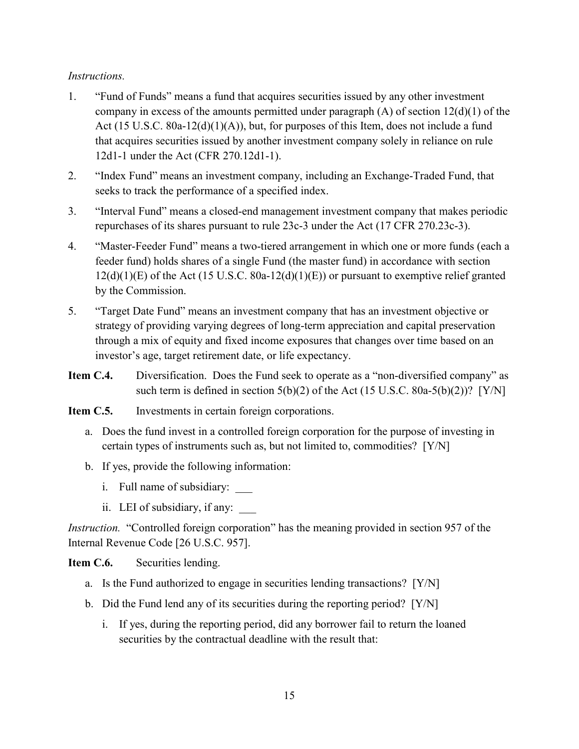### *Instructions.*

- 1. "Fund of Funds" means a fund that acquires securities issued by any other investment company in excess of the amounts permitted under paragraph  $(A)$  of section  $12(d)(1)$  of the Act (15 U.S.C. 80a-12(d)(1)(A)), but, for purposes of this Item, does not include a fund that acquires securities issued by another investment company solely in reliance on rule 12d1-1 under the Act (CFR 270.12d1-1).
- 2. "Index Fund" means an investment company, including an Exchange-Traded Fund, that seeks to track the performance of a specified index.
- 3. "Interval Fund" means a closed-end management investment company that makes periodic repurchases of its shares pursuant to rule 23c-3 under the Act (17 CFR 270.23c-3).
- 4. "Master-Feeder Fund" means a two-tiered arrangement in which one or more funds (each a feeder fund) holds shares of a single Fund (the master fund) in accordance with section  $12(d)(1)(E)$  of the Act (15 U.S.C. 80a-12(d)(1)(E)) or pursuant to exemptive relief granted by the Commission.
- 5. "Target Date Fund" means an investment company that has an investment objective or strategy of providing varying degrees of long-term appreciation and capital preservation through a mix of equity and fixed income exposures that changes over time based on an investor's age, target retirement date, or life expectancy.
- **Item C.4.** Diversification. Does the Fund seek to operate as a "non-diversified company" as such term is defined in section  $5(b)(2)$  of the Act  $(15 \text{ U.S.C. } 80a-5(b)(2))$ ? [Y/N]
- **Item C.5.** Investments in certain foreign corporations.
	- certain types of instruments such as, but not limited to, commodities? [Y/N] a. Does the fund invest in a controlled foreign corporation for the purpose of investing in
	- b. If yes, provide the following information:
		- i. Full name of subsidiary:
		- ii. LEI of subsidiary, if any:

 *Instruction.* "Controlled foreign corporation" has the meaning provided in section 957 of the Internal Revenue Code [26 U.S.C. 957].

**Item C.6.** Securities lending.

- a. Is the Fund authorized to engage in securities lending transactions? [Y/N]
- b. Did the Fund lend any of its securities during the reporting period? [Y/N]
	- i. If yes, during the reporting period, did any borrower fail to return the loaned securities by the contractual deadline with the result that: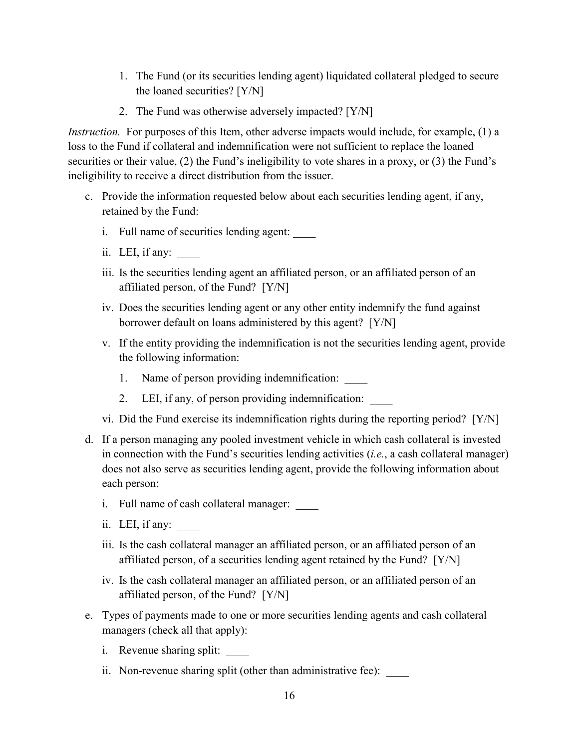- the loaned securities? [Y/N] 1. The Fund (or its securities lending agent) liquidated collateral pledged to secure
- 2. The Fund was otherwise adversely impacted? [Y/N]

 *Instruction.* For purposes of this Item, other adverse impacts would include, for example, (1) a securities or their value, (2) the Fund's ineligibility to vote shares in a proxy, or (3) the Fund's ineligibility to receive a direct distribution from the issuer. loss to the Fund if collateral and indemnification were not sufficient to replace the loaned

- retained by the Fund: c. Provide the information requested below about each securities lending agent, if any,
	- i. Full name of securities lending agent:
	- ii. LEI, if any:
	- iii. Is the securities lending agent an affiliated person, or an affiliated person of an affiliated person, of the Fund? [Y/N]
	- borrower default on loans administered by this agent? [Y/N] iv. Does the securities lending agent or any other entity indemnify the fund against
	- v. If the entity providing the indemnification is not the securities lending agent, provide the following information:
		- 1. Name of person providing indemnification:
		- 2. LEI, if any, of person providing indemnification:
	- vi. Did the Fund exercise its indemnification rights during the reporting period? [Y/N]
- d. If a person managing any pooled investment vehicle in which cash collateral is invested in connection with the Fund's securities lending activities (*i.e.*, a cash collateral manager) does not also serve as securities lending agent, provide the following information about each person:
	- i. Full name of cash collateral manager:
	- ii. LEI, if any:
	- iii. Is the cash collateral manager an affiliated person, or an affiliated person of an affiliated person, of a securities lending agent retained by the Fund? [Y/N]
	- iv. Is the cash collateral manager an affiliated person, or an affiliated person of an affiliated person, of the Fund? [Y/N]
- e. Types of payments made to one or more securities lending agents and cash collateral managers (check all that apply):
	- i. Revenue sharing split:
	- ii. Non-revenue sharing split (other than administrative fee):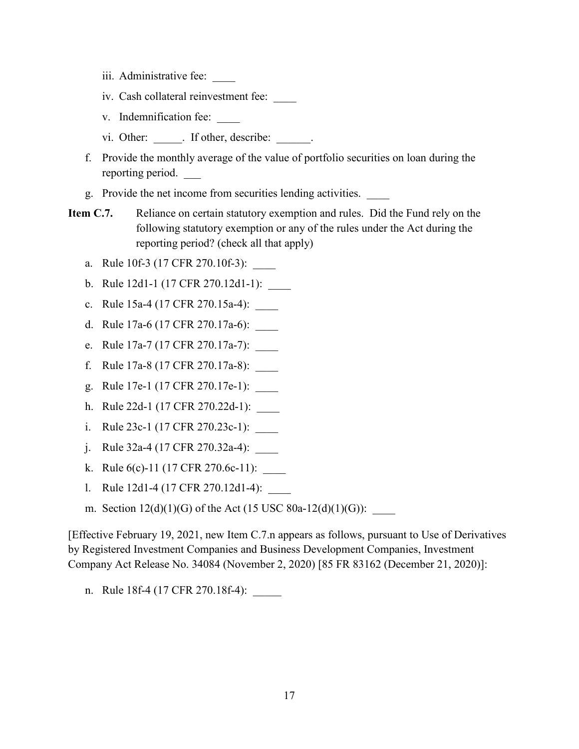- iii. Administrative fee:
- iv. Cash collateral reinvestment fee:
- v. Indemnification fee:
- vi. Other: Figure 1. If other, describe:
- f. Provide the monthly average of the value of portfolio securities on loan during the reporting period.
- g. Provide the net income from securities lending activities. \_\_\_\_
- **Item C.7.** Reliance on certain statutory exemption and rules. Did the Fund rely on the following statutory exemption or any of the rules under the Act during the reporting period? (check all that apply)
	- a. Rule 10f-3 (17 CFR 270.10f-3):
	- b. Rule 12d1-1 (17 CFR 270.12d1-1):
	- c. Rule 15a-4 (17 CFR 270.15a-4): \_\_\_\_
	- d. Rule 17a-6 (17 CFR 270.17a-6):
	- e. Rule 17a-7 (17 CFR 270.17a-7):
	- f. Rule 17a-8 (17 CFR 270.17a-8): \_\_\_\_
	- g. Rule 17e-1 (17 CFR 270.17e-1):
	- h. Rule 22d-1 (17 CFR 270.22d-1):
	- i. Rule  $23c-1$  (17 CFR 270.23c-1):
	- j. Rule  $32a-4$  (17 CFR 270.32a-4):
	- k. Rule  $6(c)$ -11 (17 CFR 270.6c-11): \_\_\_\_\_
	- 1. Rule 12d1-4 (17 CFR 270.12d1-4): \_\_\_\_\_
	- m. Section  $12(d)(1)(G)$  of the Act  $(15 \text{ USC } 80a-12(d)(1)(G))$ : \_\_\_\_\_\_

 [Effective February 19, 2021, new Item C.7.n appears as follows, pursuant to Use of Derivatives by Registered Investment Companies and Business Development Companies, Investment Company Act Release No. 34084 (November 2, 2020) [85 FR 83162 (December 21, 2020)]:

n. Rule 18f-4 (17 CFR 270.18f-4):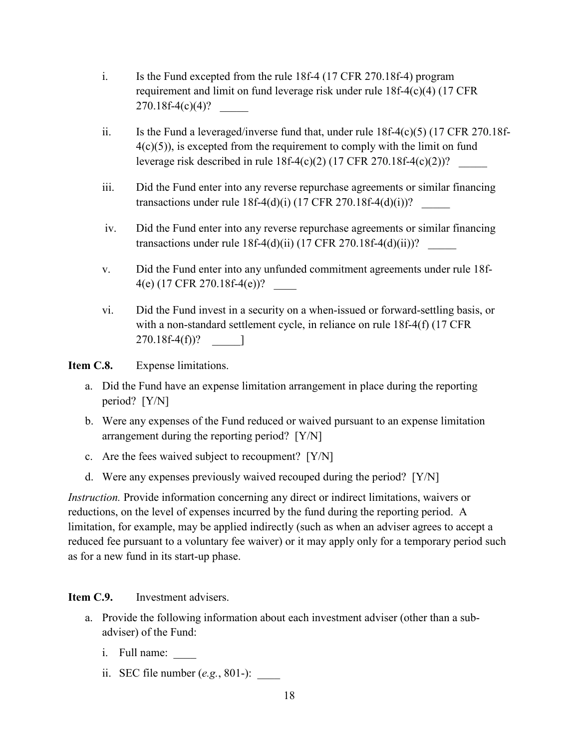- i. Is the Fund excepted from the rule 18f-4 (17 CFR 270.18f-4) program requirement and limit on fund leverage risk under rule 18f-4(c)(4) (17 CFR  $270.18f-4(c)(4)?$
- $ii.$  leverage risk described in rule 18f-4(c)(2) (17 CFR 270.18f-4(c)(2))? \_\_\_\_\_ Is the Fund a leveraged/inverse fund that, under rule  $18f-4(c)(5)$  (17 CFR 270.18f- $4(c)(5)$ , is excepted from the requirement to comply with the limit on fund
- transactions under rule  $18f-4(d)(i)$  (17 CFR 270.18f-4(d)(i))? \_\_\_\_\_\_ iii. Did the Fund enter into any reverse repurchase agreements or similar financing
- iv. Did the Fund enter into any reverse repurchase agreements or similar financing transactions under rule  $18f-4(d)(ii)$  (17 CFR 270.18f-4(d)(ii))?
- 4(e) (17 CFR 270.18f-4(e))? \_\_\_\_ v. Did the Fund enter into any unfunded commitment agreements under rule 18f-
- 270.18f-4(f))? \_\_\_\_\_] vi. Did the Fund invest in a security on a when-issued or forward-settling basis, or with a non-standard settlement cycle, in reliance on rule 18f-4(f) (17 CFR

**Item C.8.** Expense limitations.

- a. Did the Fund have an expense limitation arrangement in place during the reporting period? [Y/N]
- arrangement during the reporting period? [Y/N] b. Were any expenses of the Fund reduced or waived pursuant to an expense limitation
- c. Are the fees waived subject to recoupment? [Y/N]
- d. Were any expenses previously waived recouped during the period? [Y/N]

 reduced fee pursuant to a voluntary fee waiver) or it may apply only for a temporary period such *Instruction.* Provide information concerning any direct or indirect limitations, waivers or reductions, on the level of expenses incurred by the fund during the reporting period. A limitation, for example, may be applied indirectly (such as when an adviser agrees to accept a as for a new fund in its start-up phase.

**Item C.9.** Investment advisers.

- a. Provide the following information about each investment adviser (other than a subadviser) of the Fund:
	- i. Full name:
	- ii. SEC file number  $(e.g., 801-)$ :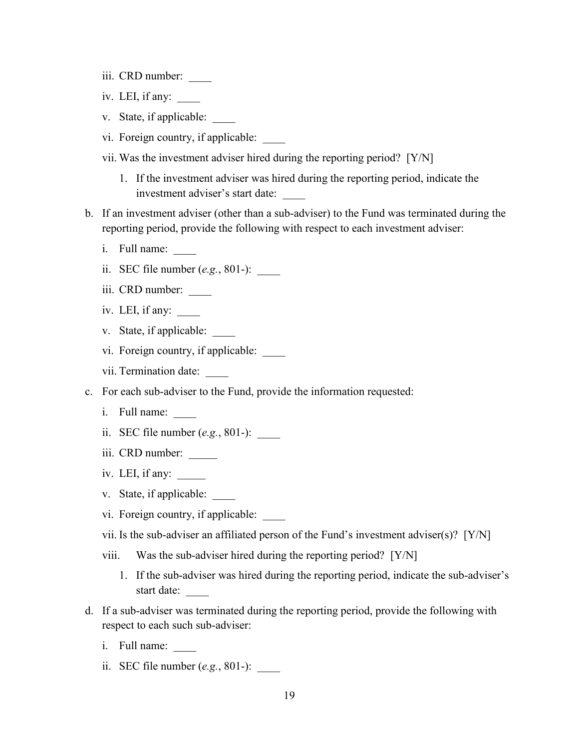- iii. CRD number:
- iv. LEI, if any:
- v. State, if applicable:
- vi. Foreign country, if applicable:
- vii. Was the investment adviser hired during the reporting period? [Y/N]
	- 1. If the investment adviser was hired during the reporting period, indicate the investment adviser's start date: \_\_\_\_
- reporting period, provide the following with respect to each investment adviser:<br>i. Full name: b. If an investment adviser (other than a sub-adviser) to the Fund was terminated during the
	-
	- ii. SEC file number (*e.g.*, 801-): \_\_\_\_
	- iii. CRD number:
	- iv. LEI, if any:
	- v. State, if applicable:
	- vi. Foreign country, if applicable:
	- vii. Termination date:
- c. For each sub-adviser to the Fund, provide the information requested:
	- i. Full name:
	- ii. SEC file number  $(e.g., 801-)$ :
	- iii. CRD number:
	- iv. LEI, if any:
	- v. State, if applicable:
	- vi. Foreign country, if applicable:
	- vii. Is the sub-adviser an affiliated person of the Fund's investment adviser(s)? [Y/N]
	- viii. Was the sub-adviser hired during the reporting period? [Y/N]
		- 1. If the sub-adviser was hired during the reporting period, indicate the sub-adviser's start date: \_\_\_\_
- d. If a sub-adviser was terminated during the reporting period, provide the following with respect to each such sub-adviser:
	- i. Full name:
	- ii. SEC file number  $(e.g., 801-)$ :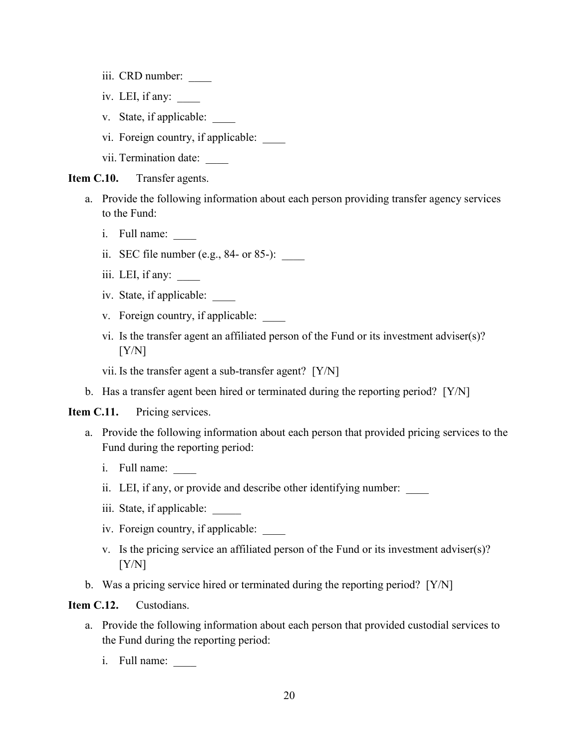- iii. CRD number: \_\_\_\_
- iv. LEI, if any:
- v. State, if applicable:
- vi. Foreign country, if applicable:
- vii. Termination date:

#### **Item C.10.** Transfer agents.

- a. Provide the following information about each person providing transfer agency services to the Fund:
	- i. Full name:
	- ii. SEC file number (e.g.,  $84$  or  $85$ -):
	- iii. LEI, if any:
	- iv. State, if applicable:
	- v. Foreign country, if applicable:
	- vi. Is the transfer agent an affiliated person of the Fund or its investment adviser(s)? [Y/N]

vii. Is the transfer agent a sub-transfer agent? [Y/N]

b. Has a transfer agent been hired or terminated during the reporting period? [Y/N]

#### Pricing services.

- **Item C.11.** Pricing services.<br>
a. Provide the following information about each person that provided pricing services to the Fund during the reporting period:
	- i. Full name:
	- ii. LEI, if any, or provide and describe other identifying number:
	- iii. State, if applicable:
	- iv. Foreign country, if applicable:
	- v. Is the pricing service an affiliated person of the Fund or its investment adviser(s)? [Y/N]
	- b. Was a pricing service hired or terminated during the reporting period? [Y/N]

#### **Item C.12.** Custodians.

- a. Provide the following information about each person that provided custodial services to the Fund during the reporting period:
	- i. Full name: \_\_\_\_\_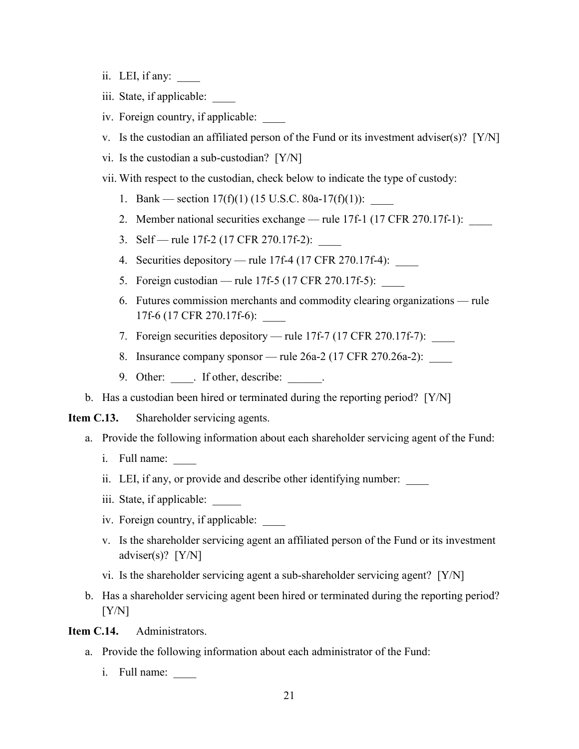- ii. LEI, if any:
- iii. State, if applicable:
- iv. Foreign country, if applicable: \_\_\_\_
- v. Is the custodian an affiliated person of the Fund or its investment adviser(s)? [Y/N]
- vi. Is the custodian a sub-custodian? [Y/N]
- vii. With respect to the custodian, check below to indicate the type of custody:
	- 1. Bank section  $17(f)(1)$  (15 U.S.C. 80a-17(f)(1)):
	- 2. Member national securities exchange rule 17f-1 (17 CFR 270.17f-1): \_\_\_\_\_
	- 3. Self rule 17f-2 (17 CFR 270.17f-2):
	- 4. Securities depository rule 17f-4 (17 CFR 270.17f-4):
	- 5. Foreign custodian rule 17f-5 (17 CFR 270.17f-5):
	- 6. Futures commission merchants and commodity clearing organizations rule 17f-6 (17 CFR 270.17f-6): \_\_\_\_
	- 7. Foreign securities depository rule 17f-7 (17 CFR 270.17f-7): \_\_\_\_\_
	- 8. Insurance company sponsor rule 26a-2 (17 CFR 270.26a-2): \_\_\_\_
	- 9. Other: \_\_\_\_\_. If other, describe: \_\_\_\_\_\_.
- b. Has a custodian been hired or terminated during the reporting period? [Y/N]

**Item C.13.** Shareholder servicing agents.

- a. Provide the following information about each shareholder servicing agent of the Fund:
	- i. Full name:
	- ii. LEI, if any, or provide and describe other identifying number:
	- iii. State, if applicable:
	- iv. Foreign country, if applicable:
	- v. Is the shareholder servicing agent an affiliated person of the Fund or its investment adviser $(s)$ ? [Y/N]
	- vi. Is the shareholder servicing agent a sub-shareholder servicing agent? [Y/N]
- b. Has a shareholder servicing agent been hired or terminated during the reporting period? [Y/N]

#### **Item C.14.** Administrators.

- a. Provide the following information about each administrator of the Fund:
	- i. Full name: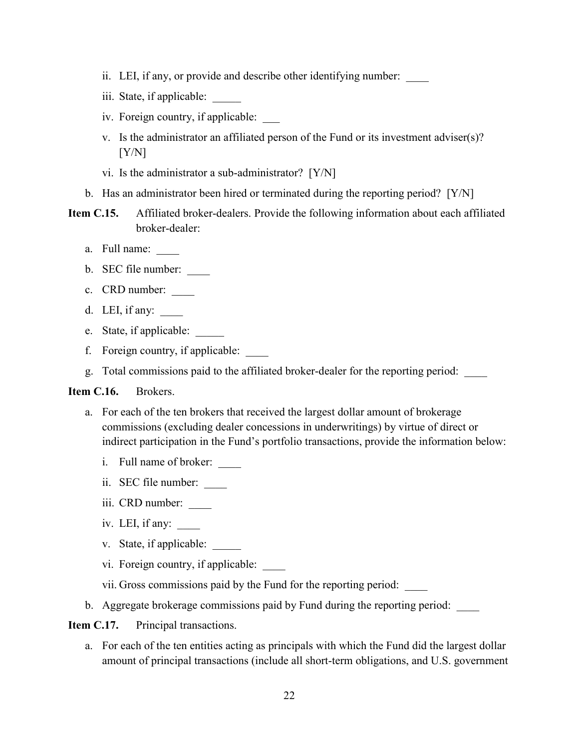- ii. LEI, if any, or provide and describe other identifying number:
- iii. State, if applicable:
- iv. Foreign country, if applicable:
- v. Is the administrator an affiliated person of the Fund or its investment adviser(s)? [Y/N]
- vi. Is the administrator a sub-administrator? [Y/N]
- b. Has an administrator been hired or terminated during the reporting period? [Y/N]

**Item C.15.** Affiliated broker-dealers. Provide the following information about each affiliated broker-dealer:

- a. Full name:
- b. SEC file number:
- c. CRD number:
- d. LEI, if any:
- e. State, if applicable:
- f. Foreign country, if applicable: \_\_\_\_
- g. Total commissions paid to the affiliated broker-dealer for the reporting period: \_\_\_\_

### **Item C.16.** Brokers.

- commissions (excluding dealer concessions in underwritings) by virtue of direct or a. For each of the ten brokers that received the largest dollar amount of brokerage indirect participation in the Fund's portfolio transactions, provide the information below:
	- i. Full name of broker:
	- ii. SEC file number: \_\_\_\_\_
	- iii. CRD number:
	- iv. LEI, if any:
	- v. State, if applicable:
	- vi. Foreign country, if applicable:
	- vii. Gross commissions paid by the Fund for the reporting period:
- b. Aggregate brokerage commissions paid by Fund during the reporting period: \_\_\_\_

**Item C.17.** Principal transactions.

a. For each of the ten entities acting as principals with which the Fund did the largest dollar amount of principal transactions (include all short-term obligations, and U.S. government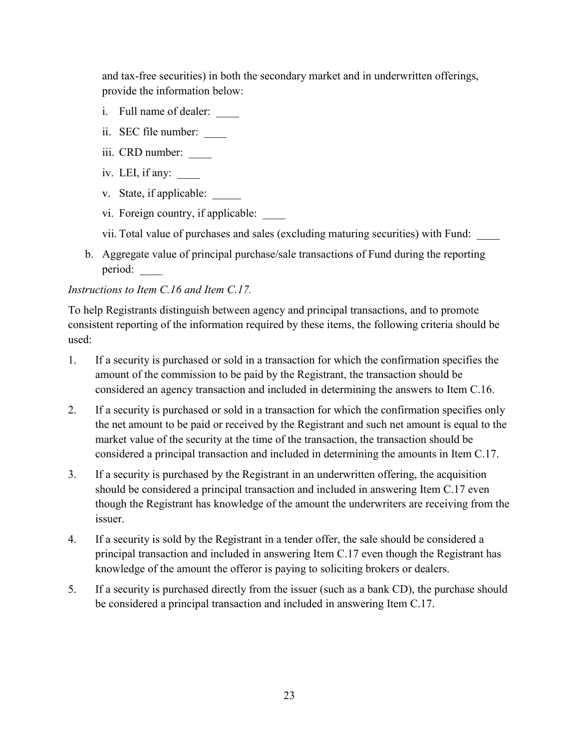and tax-free securities) in both the secondary market and in underwritten offerings, provide the information below:

- i. Full name of dealer:
- ii. SEC file number:
- iii. CRD number:
- iv. LEI, if any:
- v. State, if applicable:
- vi. Foreign country, if applicable:
- vii. Total value of purchases and sales (excluding maturing securities) with Fund:
- b. Aggregate value of principal purchase/sale transactions of Fund during the reporting period: \_\_\_\_

### *Instructions to Item C.16 and Item C.17.*

To help Registrants distinguish between agency and principal transactions, and to promote consistent reporting of the information required by these items, the following criteria should be used:

- considered an agency transaction and included in determining the answers to Item C.16. 1. If a security is purchased or sold in a transaction for which the confirmation specifies the amount of the commission to be paid by the Registrant, the transaction should be
- 2. If a security is purchased or sold in a transaction for which the confirmation specifies only the net amount to be paid or received by the Registrant and such net amount is equal to the market value of the security at the time of the transaction, the transaction should be considered a principal transaction and included in determining the amounts in Item C.17.
- should be considered a principal transaction and included in answering Item C.17 even though the Registrant has knowledge of the amount the underwriters are receiving from the 3. If a security is purchased by the Registrant in an underwritten offering, the acquisition issuer.
- principal transaction and included in answering Item C.17 even though the Registrant has 4. If a security is sold by the Registrant in a tender offer, the sale should be considered a knowledge of the amount the offeror is paying to soliciting brokers or dealers.
- be considered a principal transaction and included in answering Item C.17. 5. If a security is purchased directly from the issuer (such as a bank CD), the purchase should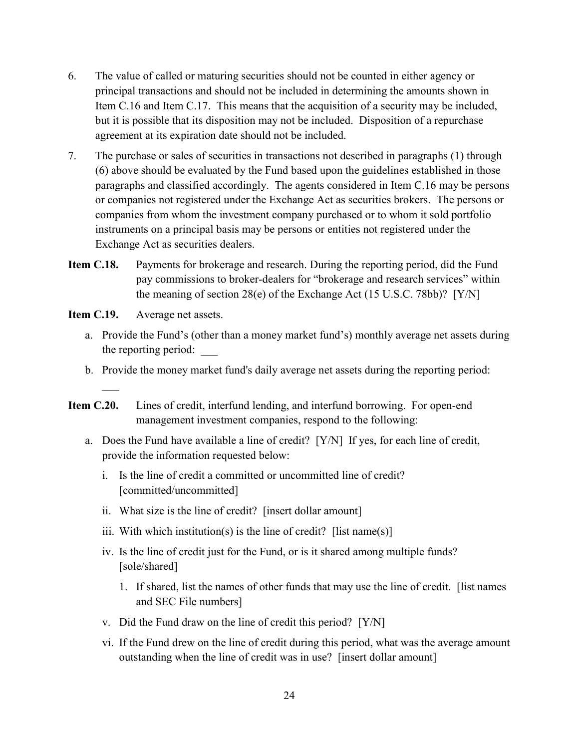- 6. The value of called or maturing securities should not be counted in either agency or principal transactions and should not be included in determining the amounts shown in Item C.16 and Item C.17. This means that the acquisition of a security may be included, but it is possible that its disposition may not be included. Disposition of a repurchase agreement at its expiration date should not be included.
- paragraphs and classified accordingly. The agents considered in Item C.16 may be persons Exchange Act as securities dealers. 7. The purchase or sales of securities in transactions not described in paragraphs (1) through (6) above should be evaluated by the Fund based upon the guidelines established in those or companies not registered under the Exchange Act as securities brokers. The persons or companies from whom the investment company purchased or to whom it sold portfolio instruments on a principal basis may be persons or entities not registered under the
- the meaning of section 28(e) of the Exchange Act (15 U.S.C. 78bb)? [Y/N] **Item C.18.** Payments for brokerage and research. During the reporting period, did the Fund pay commissions to broker-dealers for "brokerage and research services" within
- **Item C.19.** Average net assets.
	- a. Provide the Fund's (other than a money market fund's) monthly average net assets during the reporting period:
	- b. Provide the money market fund's daily average net assets during the reporting period:
- **Item C.20.** Lines of credit, interfund lending, and interfund borrowing. For open-end management investment companies, respond to the following:
	- a. Does the Fund have available a line of credit? [Y/N] If yes, for each line of credit, provide the information requested below:
		- i. Is the line of credit a committed or uncommitted line of credit? [committed/uncommitted]
		- ii. What size is the line of credit? [insert dollar amount]
		- iii. With which institution(s) is the line of credit? [list name(s)]
		- iv. Is the line of credit just for the Fund, or is it shared among multiple funds? [sole/shared]
			- 1. If shared, list the names of other funds that may use the line of credit. [list names and SEC File numbers]
		- v. Did the Fund draw on the line of credit this period? [Y/N]
		- vi. If the Fund drew on the line of credit during this period, what was the average amount outstanding when the line of credit was in use? [insert dollar amount]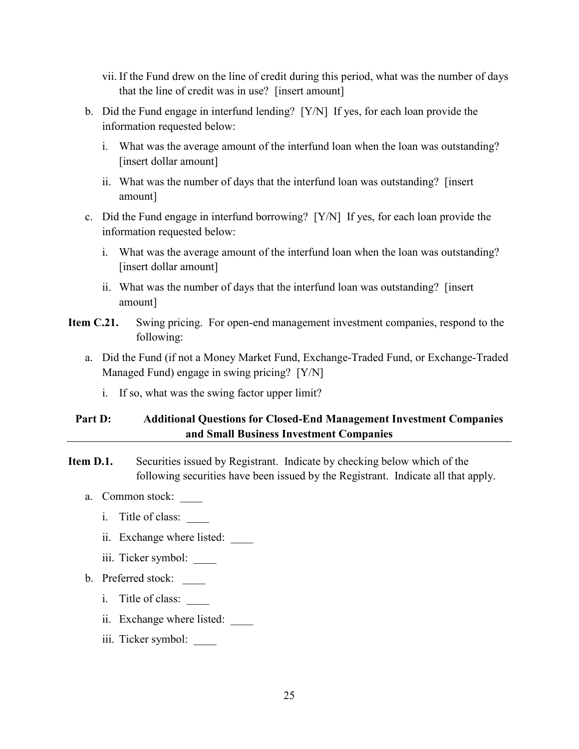- that the line of credit was in use? [insert amount] vii. If the Fund drew on the line of credit during this period, what was the number of days
- b. Did the Fund engage in interfund lending? [Y/N] If yes, for each loan provide the information requested below:
	- i. What was the average amount of the interfund loan when the loan was outstanding? [insert dollar amount]
	- ii. What was the number of days that the interfund loan was outstanding? [insert amount]
- c. Did the Fund engage in interfund borrowing? [Y/N] If yes, for each loan provide the information requested below:
	- i. What was the average amount of the interfund loan when the loan was outstanding? [insert dollar amount]
	- ii. What was the number of days that the interfund loan was outstanding? [insert amount]
- **Item C.21.** Swing pricing. For open-end management investment companies, respond to the following:
	- a. Did the Fund (if not a Money Market Fund, Exchange-Traded Fund, or Exchange-Traded Managed Fund) engage in swing pricing? [Y/N]
		- i. If so, what was the swing factor upper limit?

# **Part D: Additional Questions for Closed-End Management Investment Companies and Small Business Investment Companies**

- **Item D.1.** Securities issued by Registrant. Indicate by checking below which of the following securities have been issued by the Registrant. Indicate all that apply.
	- a. Common stock:
		- i. Title of class:
		- ii. Exchange where listed:
		- iii. Ticker symbol:
	- b. Preferred stock:
		- i. Title of class:
		- ii. Exchange where listed:
		- iii. Ticker symbol: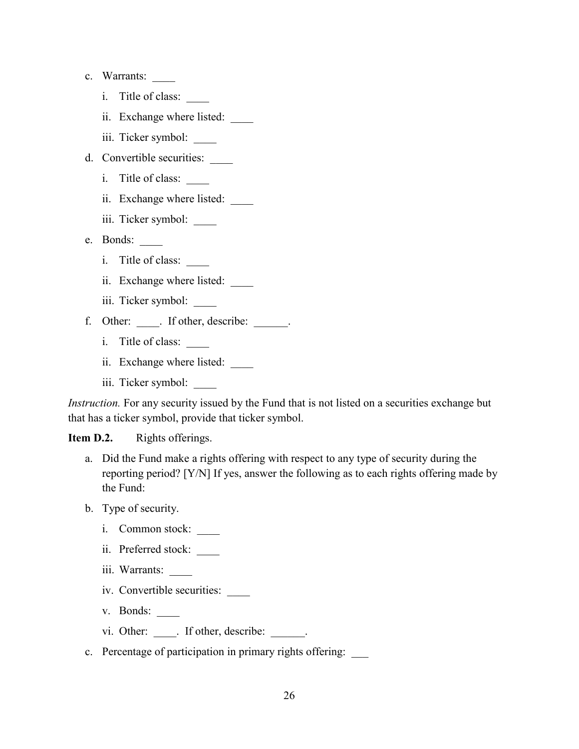### c. Warrants:

- i. Title of class: \_\_\_\_\_
- ii. Exchange where listed:
- iii. Ticker symbol:
- d. Convertible securities:
	- i. Title of class: \_\_\_\_\_
	- ii. Exchange where listed:
	- iii. Ticker symbol:
- e. Bonds: \_\_\_\_
	- i. Title of class:
	- ii. Exchange where listed: \_\_\_\_\_
	- iii. Ticker symbol:
- f. Other: \_\_\_\_\_. If other, describe: \_\_\_\_\_\_.
	- i. Title of class:
	- ii. Exchange where listed:
	- iii. Ticker symbol:

*Instruction.* For any security issued by the Fund that is not listed on a securities exchange but that has a ticker symbol, provide that ticker symbol.

#### **Item D.2.** Rights offerings.

- reporting period? [Y/N] If yes, answer the following as to each rights offering made by a. Did the Fund make a rights offering with respect to any type of security during the the Fund:
- b. Type of security.
	- i. Common stock: \_\_\_\_
	- ii. Preferred stock:
	- iii. Warrants:
	- iv. Convertible securities:
	- v. Bonds: \_\_\_\_
	- vi. Other: \_\_\_\_\_. If other, describe: \_\_\_\_\_\_.
- c. Percentage of participation in primary rights offering: \_\_\_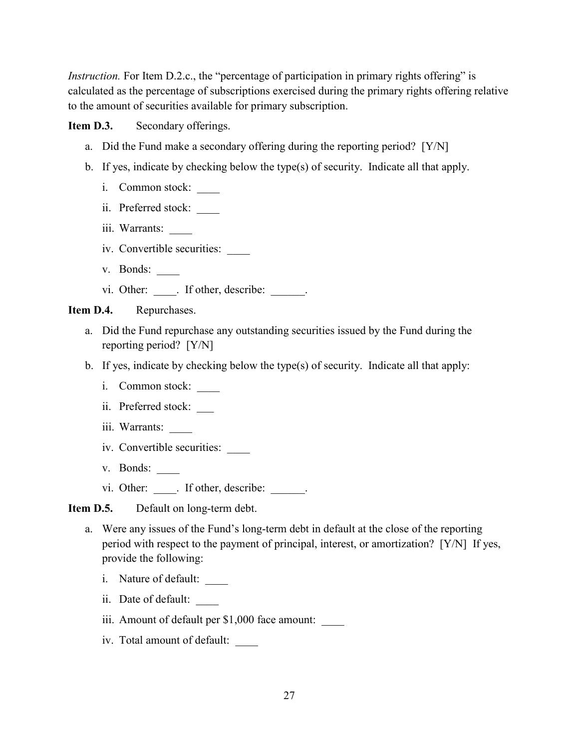*Instruction.* For Item D.2.c., the "percentage of participation in primary rights offering" is calculated as the percentage of subscriptions exercised during the primary rights offering relative to the amount of securities available for primary subscription.

### **Item D.3.** Secondary offerings.

- a. Did the Fund make a secondary offering during the reporting period? [Y/N]
- b. If yes, indicate by checking below the type(s) of security. Indicate all that apply.
	- i. Common stock:
	- ii. Preferred stock:
	- iii. Warrants:
	- iv. Convertible securities: \_\_\_\_
	- v. Bonds: \_\_\_\_
	- vi. Other: \_\_\_\_\_. If other, describe: \_\_\_\_\_\_.

#### **Item D.4.** Repurchases.

- a. Did the Fund repurchase any outstanding securities issued by the Fund during the reporting period? [Y/N]
- b. If yes, indicate by checking below the type(s) of security. Indicate all that apply:
	- i. Common stock:
	- ii. Preferred stock:
	- iii. Warrants:
	- iv. Convertible securities:
	- v. Bonds: \_\_\_\_
	- vi. Other: \_\_\_\_\_. If other, describe: \_\_\_\_\_\_.

**Item D.5.** Default on long-term debt.

- period with respect to the payment of principal, interest, or amortization? [Y/N] If yes, a. Were any issues of the Fund's long-term debt in default at the close of the reporting provide the following:
	- i. Nature of default:
	- ii. Date of default:
	- iii. Amount of default per \$1,000 face amount:
	- iv. Total amount of default: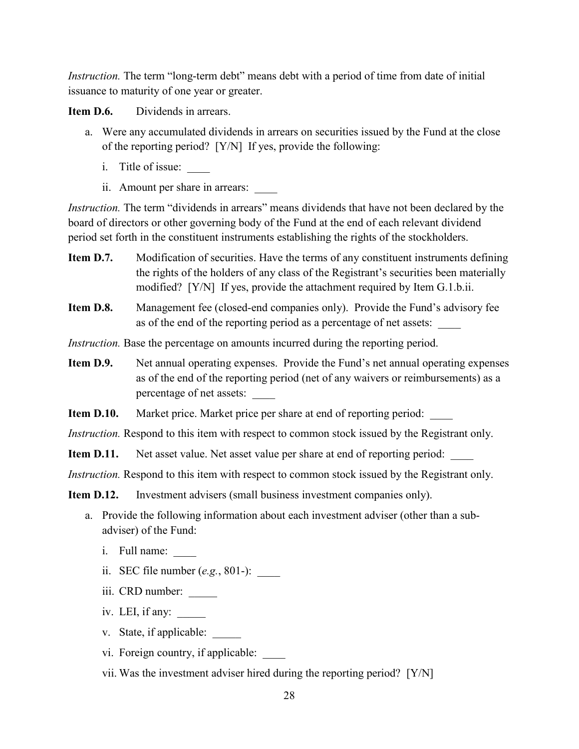*Instruction*. The term "long-term debt" means debt with a period of time from date of initial issuance to maturity of one year or greater.

**Item D.6.** Dividends in arrears.

- of the reporting period? [Y/N] If yes, provide the following: a. Were any accumulated dividends in arrears on securities issued by the Fund at the close
	- i. Title of issue:
	- ii. Amount per share in arrears:

*Instruction.* The term "dividends in arrears" means dividends that have not been declared by the board of directors or other governing body of the Fund at the end of each relevant dividend period set forth in the constituent instruments establishing the rights of the stockholders.

- modified? [Y/N] If yes, provide the attachment required by Item G.1.b.ii. **Item D.7.** Modification of securities. Have the terms of any constituent instruments defining the rights of the holders of any class of the Registrant's securities been materially
- **Item D.8.** Management fee (closed-end companies only). Provide the Fund's advisory fee as of the end of the reporting period as a percentage of net assets:

*Instruction.* Base the percentage on amounts incurred during the reporting period.

**Item D.9.** Net annual operating expenses. Provide the Fund's net annual operating expenses as of the end of the reporting period (net of any waivers or reimbursements) as a percentage of net assets: \_\_\_\_

**Item D.10.** Market price. Market price per share at end of reporting period: \_\_\_\_

*Instruction.* Respond to this item with respect to common stock issued by the Registrant only.

**Item D.11.** Net asset value. Net asset value per share at end of reporting period: \_\_\_\_

*Instruction.* Respond to this item with respect to common stock issued by the Registrant only.

**Item D.12.** Investment advisers (small business investment companies only).

- a. Provide the following information about each investment adviser (other than a subadviser) of the Fund:
	- i. Full name:
	- ii. SEC file number  $(e.g., 801-)$ :
	- iii. CRD number:
	- iv. LEI, if any:
	- v. State, if applicable:
	- vi. Foreign country, if applicable:
	- vii. Was the investment adviser hired during the reporting period? [Y/N]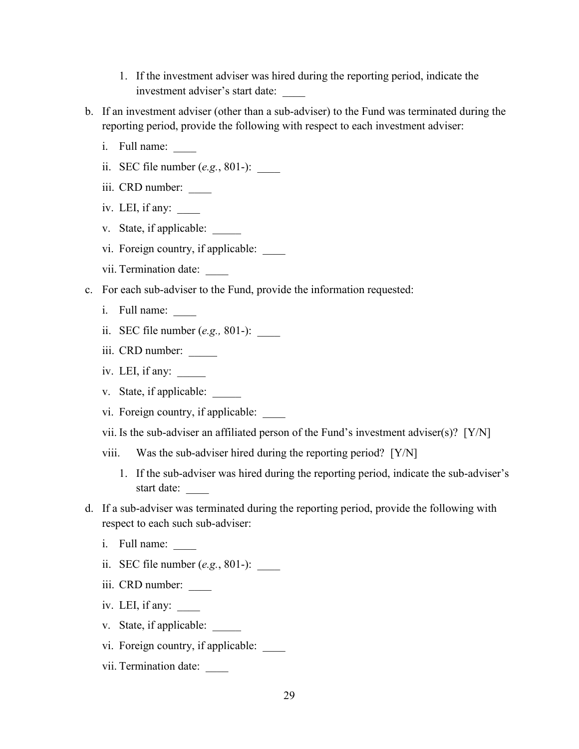- 1. If the investment adviser was hired during the reporting period, indicate the investment adviser's start date: \_\_\_\_
- reporting period, provide the following with respect to each investment adviser:<br>i. Full name: b. If an investment adviser (other than a sub-adviser) to the Fund was terminated during the
	-
	- ii. SEC file number  $(e.g., 801-)$ :
	- iii. CRD number:
	- iv. LEI, if any:
	- v. State, if applicable:
	- vi. Foreign country, if applicable:
	- vii. Termination date:
- c. For each sub-adviser to the Fund, provide the information requested:
	- i. Full name:
	- ii. SEC file number (*e.g.,* 801-): \_\_\_\_
	- iii. CRD number:
	- iv. LEI, if any:
	- v. State, if applicable:
	- vi. Foreign country, if applicable:
	- vii. Is the sub-adviser an affiliated person of the Fund's investment adviser(s)? [Y/N]
	- viii. Was the sub-adviser hired during the reporting period? [Y/N]
		- 1. If the sub-adviser was hired during the reporting period, indicate the sub-adviser's start date: \_\_\_\_
- d. If a sub-adviser was terminated during the reporting period, provide the following with respect to each such sub-adviser:
	- i. Full name:
	- ii. SEC file number  $(e.g., 801-)$ :
	- iii. CRD number:
	- iv. LEI, if any:
	- v. State, if applicable:
	- vi. Foreign country, if applicable:
	- vii. Termination date: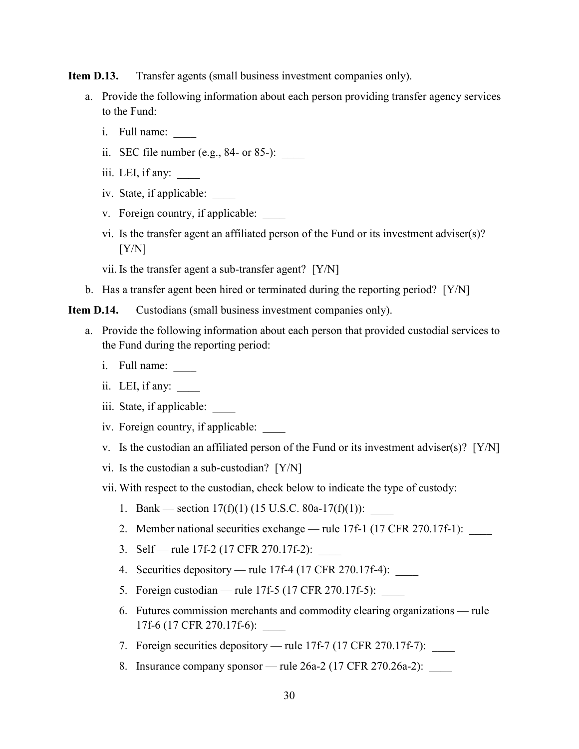**Item D.13.** Transfer agents (small business investment companies only).

- a. Provide the following information about each person providing transfer agency services to the Fund:
	- i. Full name:
	- ii. SEC file number (e.g.,  $84$  or  $85$ -):
	- iii. LEI, if any:
	- iv. State, if applicable:
	- v. Foreign country, if applicable:
	- vi. Is the transfer agent an affiliated person of the Fund or its investment adviser(s)? [Y/N]
	- vii. Is the transfer agent a sub-transfer agent? [Y/N]
- b. Has a transfer agent been hired or terminated during the reporting period? [Y/N]

**Item D.14.** Custodians (small business investment companies only).

- a. Provide the following information about each person that provided custodial services to the Fund during the reporting period:
	- i. Full name:  $\frac{1}{\sqrt{1-\frac{1}{\sqrt{1-\frac{1}{\sqrt{1-\frac{1}{\sqrt{1-\frac{1}{\sqrt{1-\frac{1}{\sqrt{1-\frac{1}{\sqrt{1-\frac{1}{\sqrt{1-\frac{1}{\sqrt{1-\frac{1}{\sqrt{1-\frac{1}{\sqrt{1-\frac{1}{\sqrt{1-\frac{1}{\sqrt{1-\frac{1}{\sqrt{1-\frac{1}{\sqrt{1-\frac{1}{\sqrt{1-\frac{1}{\sqrt{1-\frac{1}{\sqrt{1-\frac{1}{\sqrt{1-\frac{1}{\sqrt{1-\frac{1}{\sqrt{1-\frac{1}{\sqrt{1-\frac{1}{\sqrt{$
	- ii. LEI, if any:
	- iii. State, if applicable:
	- iv. Foreign country, if applicable:
	- v. Is the custodian an affiliated person of the Fund or its investment adviser(s)? [Y/N]
	- vi. Is the custodian a sub-custodian? [Y/N]
	- vii. With respect to the custodian, check below to indicate the type of custody:
		- 1. Bank section  $17(f)(1)$  (15 U.S.C. 80a-17(f)(1)):
		- 2. Member national securities exchange rule 17f-1 (17 CFR 270.17f-1): \_\_\_\_\_
		- 3. Self rule 17f-2 (17 CFR 270.17f-2): \_\_\_\_
		- 4. Securities depository rule 17f-4 (17 CFR 270.17f-4): \_\_\_\_
		- 5. Foreign custodian rule 17f-5 (17 CFR 270.17f-5):
		- 6. Futures commission merchants and commodity clearing organizations rule 17f-6 (17 CFR 270.17f-6): \_\_\_\_
		- 7. Foreign securities depository rule 17f-7 (17 CFR 270.17f-7):
		- 8. Insurance company sponsor rule 26a-2 (17 CFR 270.26a-2): \_\_\_\_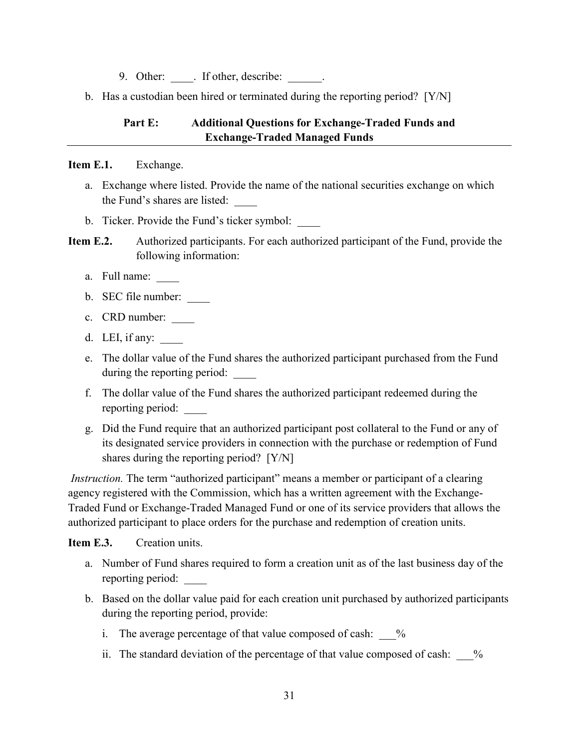9. Other: Figure 1. If other, describe:

b. Has a custodian been hired or terminated during the reporting period? [Y/N]

# **Part E: Additional Questions for Exchange-Traded Funds and Exchange-Traded Managed Funds**

**Item E.1.** Exchange.

- a. Exchange where listed. Provide the name of the national securities exchange on which the Fund's shares are listed: \_\_\_\_
- b. Ticker. Provide the Fund's ticker symbol:
- **Item E.2.** Authorized participants. For each authorized participant of the Fund, provide the following information:
	- a. Full name:
	- b. SEC file number:
	- c. CRD number:
	- d. LEI, if any:
	- e. The dollar value of the Fund shares the authorized participant purchased from the Fund during the reporting period:
	- f. The dollar value of the Fund shares the authorized participant redeemed during the reporting period: \_\_\_\_
	- shares during the reporting period? [Y/N] g. Did the Fund require that an authorized participant post collateral to the Fund or any of its designated service providers in connection with the purchase or redemption of Fund

*Instruction*. The term "authorized participant" means a member or participant of a clearing agency registered with the Commission, which has a written agreement with the Exchange-Traded Fund or Exchange-Traded Managed Fund or one of its service providers that allows the authorized participant to place orders for the purchase and redemption of creation units.

**Item E.3.** Creation units.

- a. Number of Fund shares required to form a creation unit as of the last business day of the reporting period: \_\_\_\_
- b. Based on the dollar value paid for each creation unit purchased by authorized participants during the reporting period, provide:
	- i. The average percentage of that value composed of cash:  $\%$
	- ii. The standard deviation of the percentage of that value composed of cash:  $\frac{9}{6}$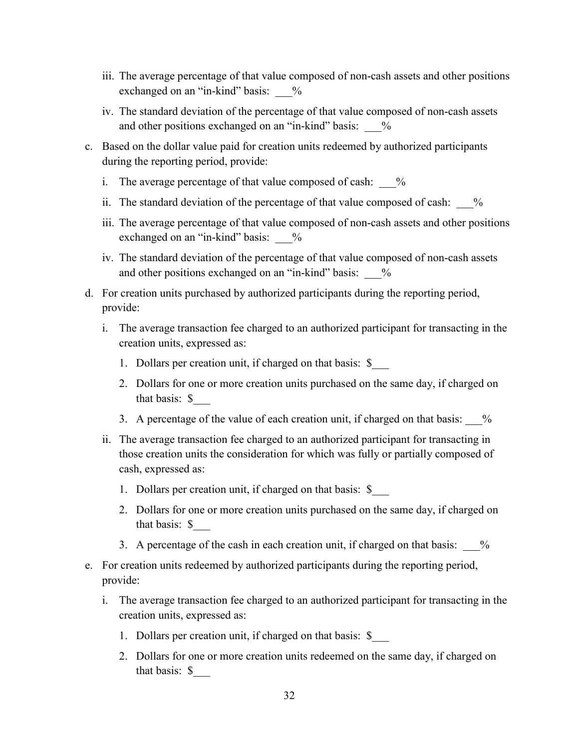- iii. The average percentage of that value composed of non-cash assets and other positions exchanged on an "in-kind" basis:  $\frac{1}{2}$
- iv. The standard deviation of the percentage of that value composed of non-cash assets and other positions exchanged on an "in-kind" basis:  $\%$
- c. Based on the dollar value paid for creation units redeemed by authorized participants during the reporting period, provide:
	- i. The average percentage of that value composed of cash:  $\frac{1}{2}$
	- ii. The standard deviation of the percentage of that value composed of cash:  $\frac{9}{6}$
	- iii. The average percentage of that value composed of non-cash assets and other positions exchanged on an "in-kind" basis: %
	- iv. The standard deviation of the percentage of that value composed of non-cash assets and other positions exchanged on an "in-kind" basis:  $\%$
- d. For creation units purchased by authorized participants during the reporting period, provide:
	- i. The average transaction fee charged to an authorized participant for transacting in the creation units, expressed as:
		- 1. Dollars per creation unit, if charged on that basis: \$\_\_\_
		- that basis:  $\frac{\mathcal{S}}{\mathcal{S}}$ 2. Dollars for one or more creation units purchased on the same day, if charged on
		- 3. A percentage of the value of each creation unit, if charged on that basis: %
	- ii. The average transaction fee charged to an authorized participant for transacting in those creation units the consideration for which was fully or partially composed of cash, expressed as:
		- 1. Dollars per creation unit, if charged on that basis: \$\_\_\_
		- 2. Dollars for one or more creation units purchased on the same day, if charged on that basis:  $\$
		- 3. A percentage of the cash in each creation unit, if charged on that basis:  $\%$
- e. For creation units redeemed by authorized participants during the reporting period, provide:
	- i. The average transaction fee charged to an authorized participant for transacting in the creation units, expressed as:
		- 1. Dollars per creation unit, if charged on that basis: \$\_\_\_
		- that basis:  $\frac{\mathcal{S}}{\mathcal{S}}$ 2. Dollars for one or more creation units redeemed on the same day, if charged on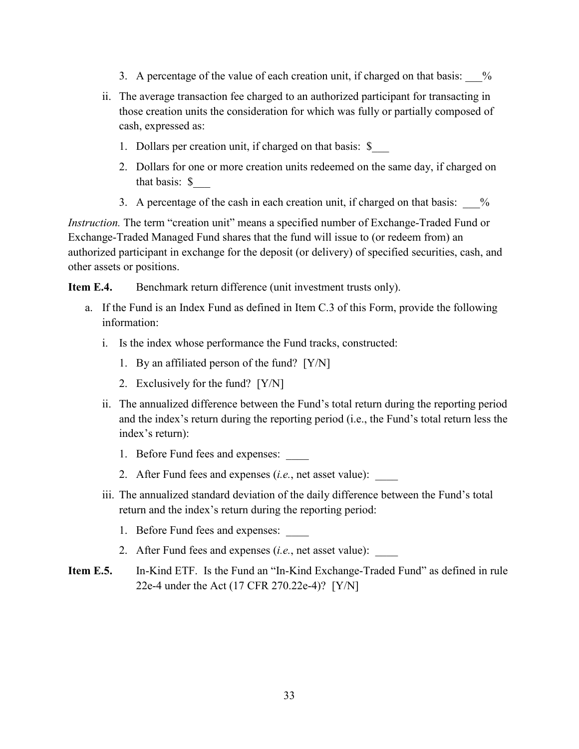- 
- 3. A percentage of the value of each creation unit, if charged on that basis: \_\_\_% ii. The average transaction fee charged to an authorized participant for transacting in those creation units the consideration for which was fully or partially composed of cash, expressed as:
	- 1. Dollars per creation unit, if charged on that basis: \$\_\_\_
	- 2. Dollars for one or more creation units redeemed on the same day, if charged on that basis:  $\$
	- 3. A percentage of the cash in each creation unit, if charged on that basis:  $\%$

*Instruction*. The term "creation unit" means a specified number of Exchange-Traded Fund or Exchange-Traded Managed Fund shares that the fund will issue to (or redeem from) an authorized participant in exchange for the deposit (or delivery) of specified securities, cash, and other assets or positions.

**Item E.4.** Benchmark return difference (unit investment trusts only).

- a. If the Fund is an Index Fund as defined in Item C.3 of this Form, provide the following information:
	- i. Is the index whose performance the Fund tracks, constructed:
		- 1. By an affiliated person of the fund? [Y/N]
		- 2. Exclusively for the fund? [Y/N]
	- index's return): ii. The annualized difference between the Fund's total return during the reporting period and the index's return during the reporting period (i.e., the Fund's total return less the
		- 1. Before Fund fees and expenses:
		- 2. After Fund fees and expenses (*i.e.*, net asset value):
	- iii. The annualized standard deviation of the daily difference between the Fund's total return and the index's return during the reporting period:
		- 1. Before Fund fees and expenses:
		- 2. After Fund fees and expenses *(i.e.*, net asset value):
- **Item E.5.** In-Kind ETF. Is the Fund an "In-Kind Exchange-Traded Fund" as defined in rule 22e-4 under the Act (17 CFR 270.22e-4)? [Y/N]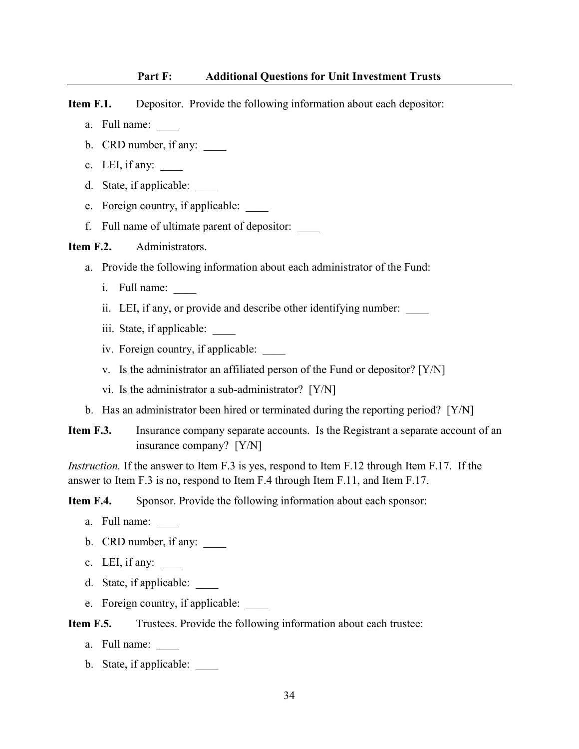**Item F.1.** Depositor. Provide the following information about each depositor:

- a. Full name:
- b. CRD number, if any:
- c. LEI, if any:
- d. State, if applicable: \_\_\_\_
- e. Foreign country, if applicable:
- f. Full name of ultimate parent of depositor: \_\_\_\_

#### **Item F.2.** Administrators.

- a. Provide the following information about each administrator of the Fund:
	- i. Full name:
	- ii. LEI, if any, or provide and describe other identifying number:
	- iii. State, if applicable:
	- iv. Foreign country, if applicable:
	- v. Is the administrator an affiliated person of the Fund or depositor? [Y/N]
	- vi. Is the administrator a sub-administrator? [Y/N]
- b. Has an administrator been hired or terminated during the reporting period? [Y/N]
- **Item F.3.** Insurance company separate accounts. Is the Registrant a separate account of an insurance company? [Y/N]

 *Instruction.* If the answer to Item F.3 is yes, respond to Item F.12 through Item F.17. If the answer to Item F.3 is no, respond to Item F.4 through Item F.11, and Item F.17.

**Item F.4.** Sponsor. Provide the following information about each sponsor:

- a. Full name:
- b. CRD number, if any:
- c. LEI, if any:  $\frac{1}{\sqrt{2\pi}}$
- d. State, if applicable:
- e. Foreign country, if applicable:

**Item F.5.** Trustees. Provide the following information about each trustee:

- a. Full name:
- b. State, if applicable: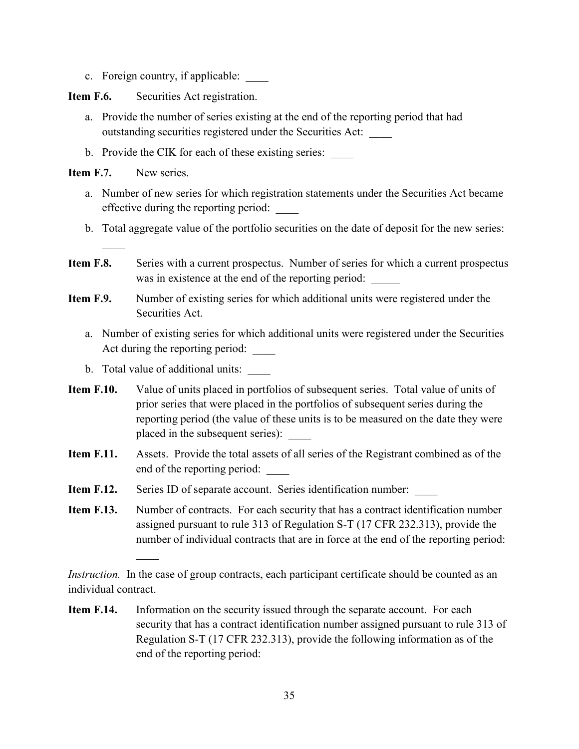c. Foreign country, if applicable:

**Item F.6.** Securities Act registration.

- a. Provide the number of series existing at the end of the reporting period that had outstanding securities registered under the Securities Act: \_\_\_\_
- b. Provide the CIK for each of these existing series:

**Item F.7.** New series.

- a. Number of new series for which registration statements under the Securities Act became effective during the reporting period: \_\_\_\_
- b. Total aggregate value of the portfolio securities on the date of deposit for the new series:
- **Item F.8.** Series with a current prospectus. Number of series for which a current prospectus was in existence at the end of the reporting period:
- **Item F.9.** Number of existing series for which additional units were registered under the Securities Act.
	- a. Number of existing series for which additional units were registered under the Securities Act during the reporting period:
	- b. Total value of additional units: \_\_\_\_\_

 $\frac{1}{2}$ 

- reporting period (the value of these units is to be measured on the date they were **Item F.10.** Value of units placed in portfolios of subsequent series. Total value of units of prior series that were placed in the portfolios of subsequent series during the placed in the subsequent series): \_\_\_\_
- **Item F.11.** Assets. Provide the total assets of all series of the Registrant combined as of the end of the reporting period:
- **Item F.12.** Series ID of separate account. Series identification number:
- **Item F.13.** Number of contracts. For each security that has a contract identification number number of individual contracts that are in force at the end of the reporting period: assigned pursuant to rule 313 of Regulation S-T (17 CFR 232.313), provide the

 security that has a contract identification number assigned pursuant to rule 313 of Regulation S-T (17 CFR 232.313), provide the following information as of the **Item F.14.** Information on the security issued through the separate account. For each end of the reporting period:

 *Instruction.* In the case of group contracts, each participant certificate should be counted as an individual contract.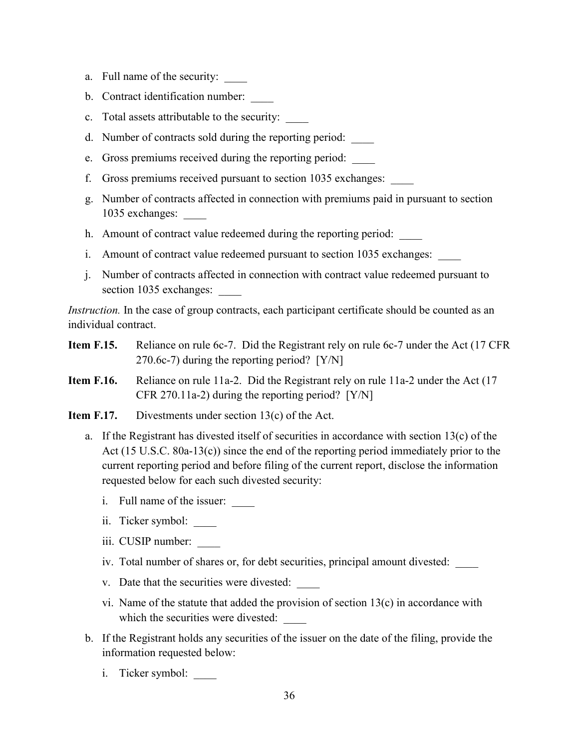- a. Full name of the security:
- b. Contract identification number:
- c. Total assets attributable to the security:
- d. Number of contracts sold during the reporting period:
- e. Gross premiums received during the reporting period:
- f. Gross premiums received pursuant to section 1035 exchanges:
- g. Number of contracts affected in connection with premiums paid in pursuant to section 1035 exchanges:
- h. Amount of contract value redeemed during the reporting period:
- i. Amount of contract value redeemed pursuant to section 1035 exchanges:
- section 1035 exchanges: \_\_\_\_\_ j. Number of contracts affected in connection with contract value redeemed pursuant to

 *Instruction.* In the case of group contracts, each participant certificate should be counted as an individual contract.

- 270.6c-7) during the reporting period? [Y/N] **Item F.15.** Reliance on rule 6c-7. Did the Registrant rely on rule 6c-7 under the Act (17 CFR)
- CFR 270.11a-2) during the reporting period? [Y/N] **Item F.16.** Reliance on rule 11a-2. Did the Registrant rely on rule 11a-2 under the Act (17
- **Item F.17.** Divestments under section 13(c) of the Act.
	- Act (15 U.S.C. 80a-13(c)) since the end of the reporting period immediately prior to the a. If the Registrant has divested itself of securities in accordance with section 13(c) of the current reporting period and before filing of the current report, disclose the information requested below for each such divested security:
		- i. Full name of the issuer:
		- ii. Ticker symbol:
		- iii. CUSIP number: \_\_\_\_
		- iv. Total number of shares or, for debt securities, principal amount divested: \_\_\_\_
		- v. Date that the securities were divested:
		- vi. Name of the statute that added the provision of section  $13(c)$  in accordance with which the securities were divested:
	- b. If the Registrant holds any securities of the issuer on the date of the filing, provide the information requested below:
		- i. Ticker symbol: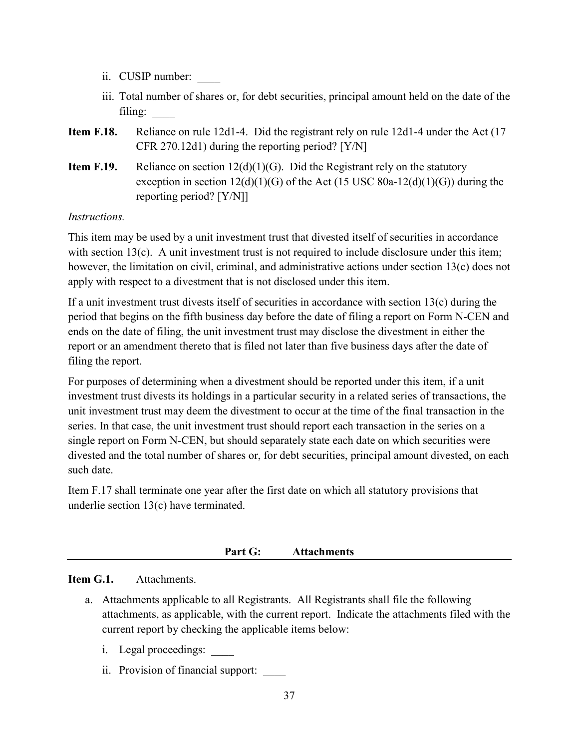- ii. CUSIP number:
- iii. Total number of shares or, for debt securities, principal amount held on the date of the filing:
- **Item F.18.** Reliance on rule 12d1-4. Did the registrant rely on rule 12d1-4 under the Act (17 CFR 270.12d1) during the reporting period? [Y/N]
- reporting period? [Y/N]] **Item F.19.** Reliance on section  $12(d)(1)(G)$ . Did the Registrant rely on the statutory exception in section  $12(d)(1)(G)$  of the Act (15 USC 80a-12(d)(1)(G)) during the

### *Instructions.*

This item may be used by a unit investment trust that divested itself of securities in accordance with section  $13(c)$ . A unit investment trust is not required to include disclosure under this item; however, the limitation on civil, criminal, and administrative actions under section 13(c) does not apply with respect to a divestment that is not disclosed under this item.

If a unit investment trust divests itself of securities in accordance with section  $13(c)$  during the period that begins on the fifth business day before the date of filing a report on Form N-CEN and ends on the date of filing, the unit investment trust may disclose the divestment in either the report or an amendment thereto that is filed not later than five business days after the date of filing the report.

For purposes of determining when a divestment should be reported under this item, if a unit investment trust divests its holdings in a particular security in a related series of transactions, the unit investment trust may deem the divestment to occur at the time of the final transaction in the series. In that case, the unit investment trust should report each transaction in the series on a single report on Form N-CEN, but should separately state each date on which securities were divested and the total number of shares or, for debt securities, principal amount divested, on each such date.

 Item F.17 shall terminate one year after the first date on which all statutory provisions that underlie section 13(c) have terminated.

# **Part G: Attachments**

### **Item G.1.** Attachments.

- a. Attachments applicable to all Registrants. All Registrants shall file the following attachments, as applicable, with the current report. Indicate the attachments filed with the current report by checking the applicable items below:
	- i. Legal proceedings:
	- ii. Provision of financial support: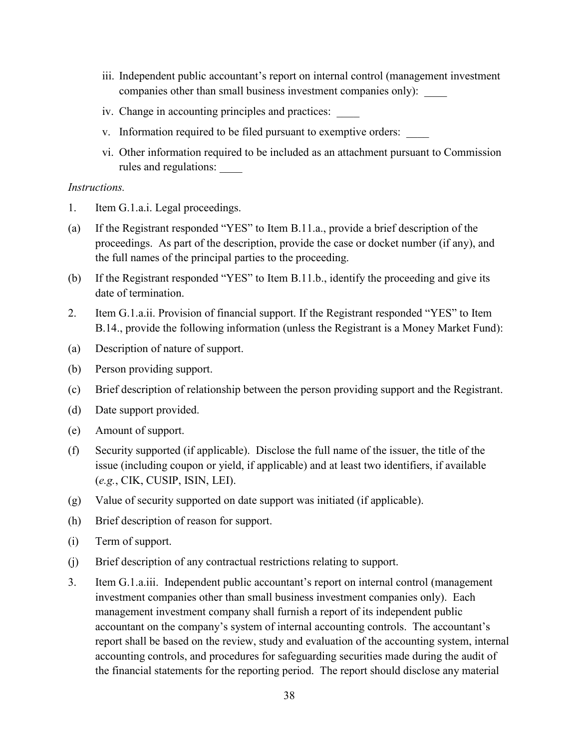- iii. Independent public accountant's report on internal control (management investment companies other than small business investment companies only): \_\_\_\_
- iv. Change in accounting principles and practices:
- v. Information required to be filed pursuant to exemptive orders:
- vi. Other information required to be included as an attachment pursuant to Commission rules and regulations: \_\_\_\_

### *Instructions.*

- 1. Item G.1.a.i. Legal proceedings.
- (a) If the Registrant responded "YES" to Item B.11.a., provide a brief description of the proceedings. As part of the description, provide the case or docket number (if any), and the full names of the principal parties to the proceeding.
- (b) If the Registrant responded "YES" to Item B.11.b., identify the proceeding and give its date of termination.
- 2. Item G.1.a.ii. Provision of financial support. If the Registrant responded "YES" to Item B.14., provide the following information (unless the Registrant is a Money Market Fund):
- (a) Description of nature of support.
- (b) Person providing support.
- (c) Brief description of relationship between the person providing support and the Registrant.
- (d) Date support provided.
- (e) Amount of support.
- issue (including coupon or yield, if applicable) and at least two identifiers, if available (*e.g.*, CIK, CUSIP, ISIN, LEI). (f) Security supported (if applicable). Disclose the full name of the issuer, the title of the
- (g) Value of security supported on date support was initiated (if applicable).
- (h) Brief description of reason for support.
- (i) Term of support.
- (j) Brief description of any contractual restrictions relating to support.
- accounting controls, and procedures for safeguarding securities made during the audit of 3. Item G.1.a.iii. Independent public accountant's report on internal control (management investment companies other than small business investment companies only). Each management investment company shall furnish a report of its independent public accountant on the company's system of internal accounting controls. The accountant's report shall be based on the review, study and evaluation of the accounting system, internal the financial statements for the reporting period. The report should disclose any material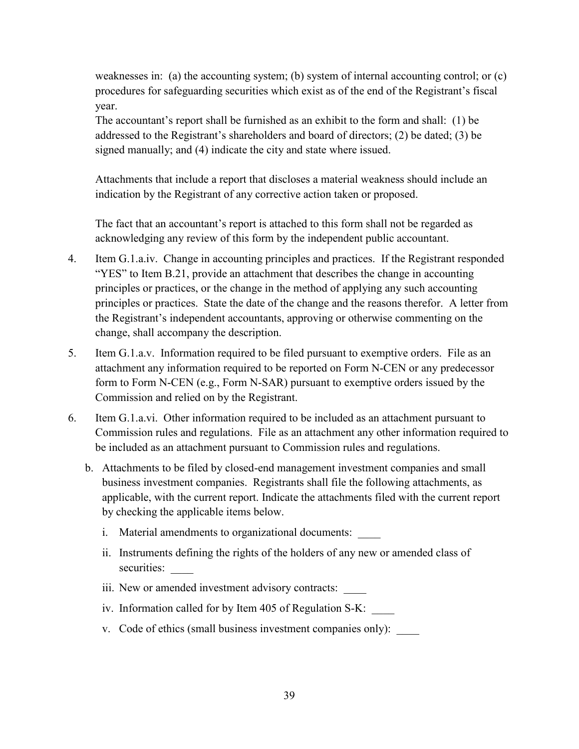weaknesses in: (a) the accounting system; (b) system of internal accounting control; or (c) procedures for safeguarding securities which exist as of the end of the Registrant's fiscal year.

 signed manually; and (4) indicate the city and state where issued. The accountant's report shall be furnished as an exhibit to the form and shall: (1) be addressed to the Registrant's shareholders and board of directors; (2) be dated; (3) be

 Attachments that include a report that discloses a material weakness should include an indication by the Registrant of any corrective action taken or proposed.

The fact that an accountant's report is attached to this form shall not be regarded as acknowledging any review of this form by the independent public accountant.

- "YES" to Item B.21, provide an attachment that describes the change in accounting 4. Item G.1.a.iv. Change in accounting principles and practices. If the Registrant responded principles or practices, or the change in the method of applying any such accounting principles or practices. State the date of the change and the reasons therefor. A letter from the Registrant's independent accountants, approving or otherwise commenting on the change, shall accompany the description.
- attachment any information required to be reported on Form N-CEN or any predecessor 5. Item G.1.a.v. Information required to be filed pursuant to exemptive orders. File as an form to Form N-CEN (e.g., Form N-SAR) pursuant to exemptive orders issued by the Commission and relied on by the Registrant.
- 6. Item G.1.a.vi. Other information required to be included as an attachment pursuant to Commission rules and regulations. File as an attachment any other information required to be included as an attachment pursuant to Commission rules and regulations.
	- b. Attachments to be filed by closed-end management investment companies and small business investment companies. Registrants shall file the following attachments, as applicable, with the current report. Indicate the attachments filed with the current report by checking the applicable items below.
		- i. Material amendments to organizational documents:
		- ii. Instruments defining the rights of the holders of any new or amended class of securities:
		- iii. New or amended investment advisory contracts:
		- iv. Information called for by Item 405 of Regulation S-K:
		- v. Code of ethics (small business investment companies only):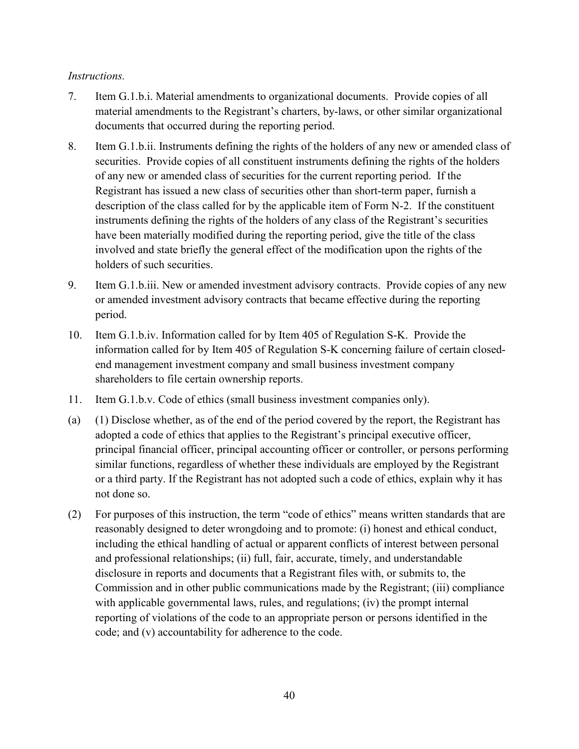### *Instructions.*

- 7. Item G.1.b.i. Material amendments to organizational documents. Provide copies of all material amendments to the Registrant's charters, by-laws, or other similar organizational documents that occurred during the reporting period.
- securities. Provide copies of all constituent instruments defining the rights of the holders of any new or amended class of securities for the current reporting period. If the have been materially modified during the reporting period, give the title of the class 8. Item G.1.b.ii. Instruments defining the rights of the holders of any new or amended class of Registrant has issued a new class of securities other than short-term paper, furnish a description of the class called for by the applicable item of Form N-2. If the constituent instruments defining the rights of the holders of any class of the Registrant's securities involved and state briefly the general effect of the modification upon the rights of the holders of such securities.
- 9. Item G.1.b.iii. New or amended investment advisory contracts. Provide copies of any new or amended investment advisory contracts that became effective during the reporting period.
- 10. Item G.1.b.iv. Information called for by Item 405 of Regulation S-K. Provide the information called for by Item 405 of Regulation S-K concerning failure of certain closedend management investment company and small business investment company shareholders to file certain ownership reports.
- 11. Item G.1.b.v. Code of ethics (small business investment companies only).
- (a) (1) Disclose whether, as of the end of the period covered by the report, the Registrant has adopted a code of ethics that applies to the Registrant's principal executive officer, principal financial officer, principal accounting officer or controller, or persons performing similar functions, regardless of whether these individuals are employed by the Registrant or a third party. If the Registrant has not adopted such a code of ethics, explain why it has not done so.
- code; and (v) accountability for adherence to the code. (2) For purposes of this instruction, the term "code of ethics" means written standards that are reasonably designed to deter wrongdoing and to promote: (i) honest and ethical conduct, including the ethical handling of actual or apparent conflicts of interest between personal and professional relationships; (ii) full, fair, accurate, timely, and understandable disclosure in reports and documents that a Registrant files with, or submits to, the Commission and in other public communications made by the Registrant; (iii) compliance with applicable governmental laws, rules, and regulations; (iv) the prompt internal reporting of violations of the code to an appropriate person or persons identified in the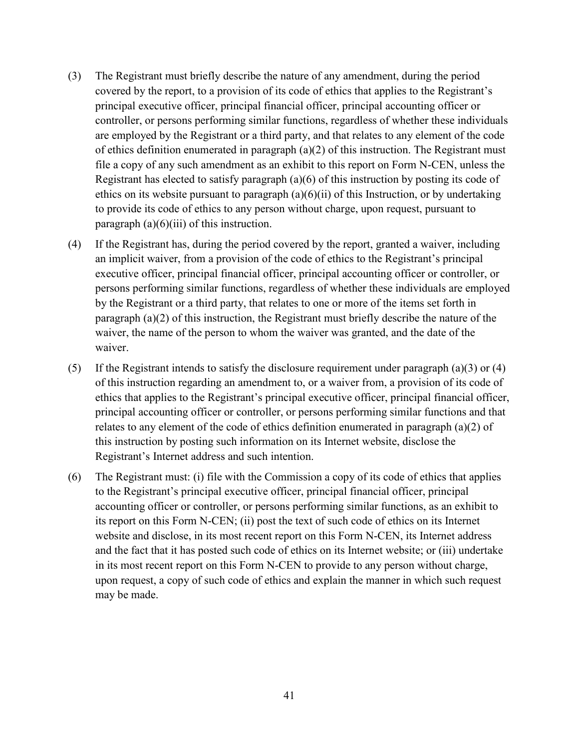- principal executive officer, principal financial officer, principal accounting officer or ethics on its website pursuant to paragraph (a)(6)(ii) of this Instruction, or by undertaking (3) The Registrant must briefly describe the nature of any amendment, during the period covered by the report, to a provision of its code of ethics that applies to the Registrant's controller, or persons performing similar functions, regardless of whether these individuals are employed by the Registrant or a third party, and that relates to any element of the code of ethics definition enumerated in paragraph (a)(2) of this instruction. The Registrant must file a copy of any such amendment as an exhibit to this report on Form N-CEN, unless the Registrant has elected to satisfy paragraph (a)(6) of this instruction by posting its code of to provide its code of ethics to any person without charge, upon request, pursuant to paragraph  $(a)(6)(iii)$  of this instruction.
- (4) If the Registrant has, during the period covered by the report, granted a waiver, including an implicit waiver, from a provision of the code of ethics to the Registrant's principal executive officer, principal financial officer, principal accounting officer or controller, or persons performing similar functions, regardless of whether these individuals are employed by the Registrant or a third party, that relates to one or more of the items set forth in paragraph (a)(2) of this instruction, the Registrant must briefly describe the nature of the waiver, the name of the person to whom the waiver was granted, and the date of the waiver.
- relates to any element of the code of ethics definition enumerated in paragraph (a)(2) of (5) If the Registrant intends to satisfy the disclosure requirement under paragraph (a)(3) or (4) of this instruction regarding an amendment to, or a waiver from, a provision of its code of ethics that applies to the Registrant's principal executive officer, principal financial officer, principal accounting officer or controller, or persons performing similar functions and that this instruction by posting such information on its Internet website, disclose the Registrant's Internet address and such intention.
- and the fact that it has posted such code of ethics on its Internet website; or (iii) undertake (6) The Registrant must: (i) file with the Commission a copy of its code of ethics that applies to the Registrant's principal executive officer, principal financial officer, principal accounting officer or controller, or persons performing similar functions, as an exhibit to its report on this Form N-CEN; (ii) post the text of such code of ethics on its Internet website and disclose, in its most recent report on this Form N-CEN, its Internet address in its most recent report on this Form N-CEN to provide to any person without charge, upon request, a copy of such code of ethics and explain the manner in which such request may be made.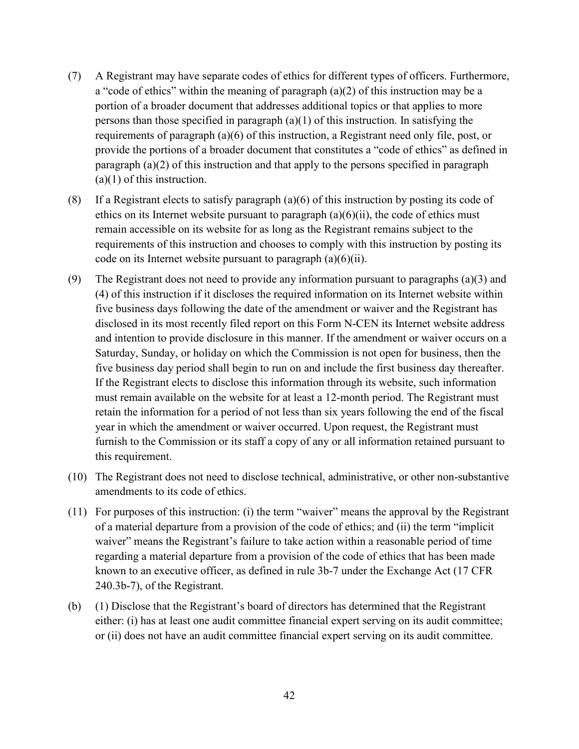- requirements of paragraph (a)(6) of this instruction, a Registrant need only file, post, or (7) A Registrant may have separate codes of ethics for different types of officers. Furthermore, a "code of ethics" within the meaning of paragraph (a)(2) of this instruction may be a portion of a broader document that addresses additional topics or that applies to more persons than those specified in paragraph (a)(1) of this instruction. In satisfying the provide the portions of a broader document that constitutes a "code of ethics" as defined in paragraph (a)(2) of this instruction and that apply to the persons specified in paragraph  $(a)(1)$  of this instruction.
- (8) If a Registrant elects to satisfy paragraph  $(a)(6)$  of this instruction by posting its code of ethics on its Internet website pursuant to paragraph  $(a)(6)(ii)$ , the code of ethics must remain accessible on its website for as long as the Registrant remains subject to the requirements of this instruction and chooses to comply with this instruction by posting its code on its Internet website pursuant to paragraph  $(a)(6)(ii)$ .
- disclosed in its most recently filed report on this Form N-CEN its Internet website address furnish to the Commission or its staff a copy of any or all information retained pursuant to (9) The Registrant does not need to provide any information pursuant to paragraphs (a)(3) and (4) of this instruction if it discloses the required information on its Internet website within five business days following the date of the amendment or waiver and the Registrant has and intention to provide disclosure in this manner. If the amendment or waiver occurs on a Saturday, Sunday, or holiday on which the Commission is not open for business, then the five business day period shall begin to run on and include the first business day thereafter. If the Registrant elects to disclose this information through its website, such information must remain available on the website for at least a 12-month period. The Registrant must retain the information for a period of not less than six years following the end of the fiscal year in which the amendment or waiver occurred. Upon request, the Registrant must this requirement.
- (10) The Registrant does not need to disclose technical, administrative, or other non-substantive amendments to its code of ethics.
- regarding a material departure from a provision of the code of ethics that has been made (11) For purposes of this instruction: (i) the term "waiver" means the approval by the Registrant of a material departure from a provision of the code of ethics; and (ii) the term "implicit waiver" means the Registrant's failure to take action within a reasonable period of time known to an executive officer, as defined in rule 3b-7 under the Exchange Act (17 CFR 240.3b-7), of the Registrant.
- (b) (1) Disclose that the Registrant's board of directors has determined that the Registrant either: (i) has at least one audit committee financial expert serving on its audit committee; or (ii) does not have an audit committee financial expert serving on its audit committee.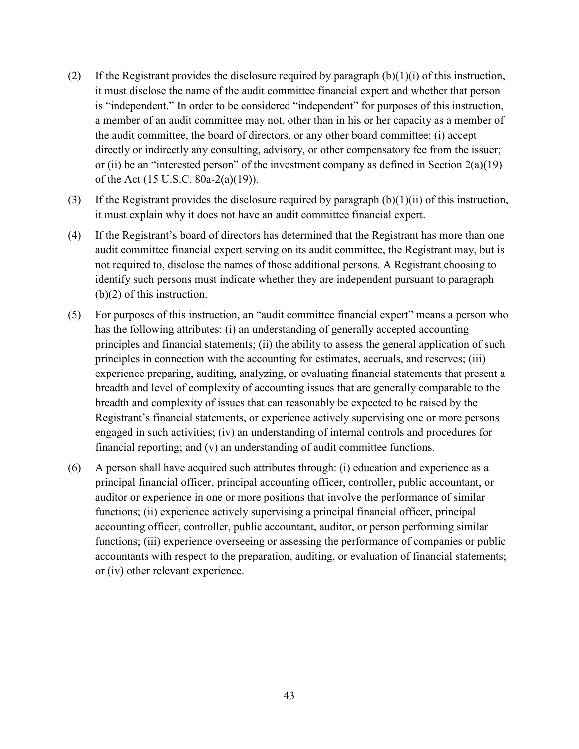- (2) If the Registrant provides the disclosure required by paragraph  $(b)(1)(i)$  of this instruction, it must disclose the name of the audit committee financial expert and whether that person is "independent." In order to be considered "independent" for purposes of this instruction, a member of an audit committee may not, other than in his or her capacity as a member of the audit committee, the board of directors, or any other board committee: (i) accept directly or indirectly any consulting, advisory, or other compensatory fee from the issuer; or (ii) be an "interested person" of the investment company as defined in Section  $2(a)(19)$ of the Act (15 U.S.C. 80a-2(a)(19)).
- (3) If the Registrant provides the disclosure required by paragraph  $(b)(1)(ii)$  of this instruction, it must explain why it does not have an audit committee financial expert.
- (4) If the Registrant's board of directors has determined that the Registrant has more than one audit committee financial expert serving on its audit committee, the Registrant may, but is not required to, disclose the names of those additional persons. A Registrant choosing to identify such persons must indicate whether they are independent pursuant to paragraph (b)(2) of this instruction.
- engaged in such activities; (iv) an understanding of internal controls and procedures for financial reporting; and (v) an understanding of audit committee functions. (5) For purposes of this instruction, an "audit committee financial expert" means a person who has the following attributes: (i) an understanding of generally accepted accounting principles and financial statements; (ii) the ability to assess the general application of such principles in connection with the accounting for estimates, accruals, and reserves; (iii) experience preparing, auditing, analyzing, or evaluating financial statements that present a breadth and level of complexity of accounting issues that are generally comparable to the breadth and complexity of issues that can reasonably be expected to be raised by the Registrant's financial statements, or experience actively supervising one or more persons
- or (iv) other relevant experience. (6) A person shall have acquired such attributes through: (i) education and experience as a principal financial officer, principal accounting officer, controller, public accountant, or auditor or experience in one or more positions that involve the performance of similar functions; (ii) experience actively supervising a principal financial officer, principal accounting officer, controller, public accountant, auditor, or person performing similar functions; (iii) experience overseeing or assessing the performance of companies or public accountants with respect to the preparation, auditing, or evaluation of financial statements;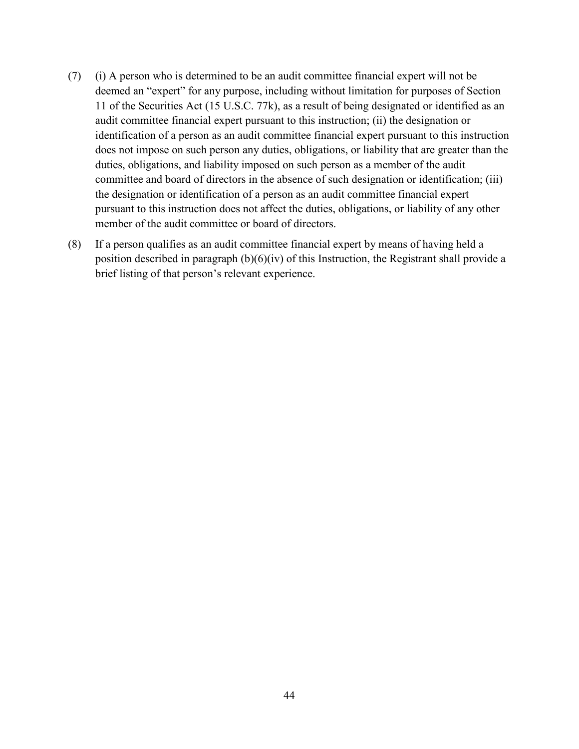- pursuant to this instruction does not affect the duties, obligations, or liability of any other (7) (i) A person who is determined to be an audit committee financial expert will not be deemed an "expert" for any purpose, including without limitation for purposes of Section 11 of the Securities Act (15 U.S.C. 77k), as a result of being designated or identified as an audit committee financial expert pursuant to this instruction; (ii) the designation or identification of a person as an audit committee financial expert pursuant to this instruction does not impose on such person any duties, obligations, or liability that are greater than the duties, obligations, and liability imposed on such person as a member of the audit committee and board of directors in the absence of such designation or identification; (iii) the designation or identification of a person as an audit committee financial expert member of the audit committee or board of directors.
- (8) If a person qualifies as an audit committee financial expert by means of having held a position described in paragraph (b)(6)(iv) of this Instruction, the Registrant shall provide a brief listing of that person's relevant experience.